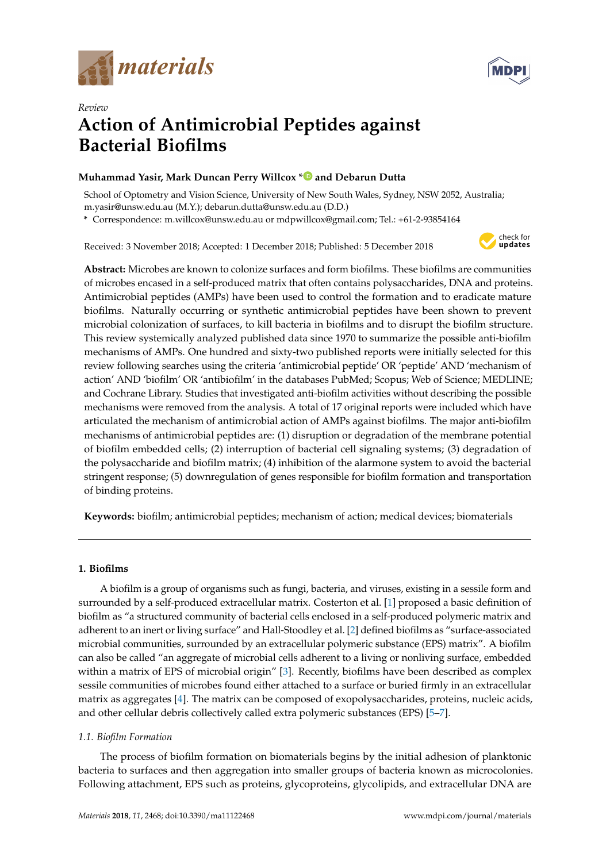



# *Review* **Action of Antimicrobial Peptides against Bacterial Biofilms**

# **Muhammad Yasir, Mark Duncan Perry Willcox [\\*](https://orcid.org/0000-0003-3842-7563) and Debarun Dutta**

School of Optometry and Vision Science, University of New South Wales, Sydney, NSW 2052, Australia; m.yasir@unsw.edu.au (M.Y.); debarun.dutta@unsw.edu.au (D.D.)

**\*** Correspondence: m.willcox@unsw.edu.au or mdpwillcox@gmail.com; Tel.: +61-2-93854164

Received: 3 November 2018; Accepted: 1 December 2018; Published: 5 December 2018



**Abstract:** Microbes are known to colonize surfaces and form biofilms. These biofilms are communities of microbes encased in a self-produced matrix that often contains polysaccharides, DNA and proteins. Antimicrobial peptides (AMPs) have been used to control the formation and to eradicate mature biofilms. Naturally occurring or synthetic antimicrobial peptides have been shown to prevent microbial colonization of surfaces, to kill bacteria in biofilms and to disrupt the biofilm structure. This review systemically analyzed published data since 1970 to summarize the possible anti-biofilm mechanisms of AMPs. One hundred and sixty-two published reports were initially selected for this review following searches using the criteria 'antimicrobial peptide' OR 'peptide' AND 'mechanism of action' AND 'biofilm' OR 'antibiofilm' in the databases PubMed; Scopus; Web of Science; MEDLINE; and Cochrane Library. Studies that investigated anti-biofilm activities without describing the possible mechanisms were removed from the analysis. A total of 17 original reports were included which have articulated the mechanism of antimicrobial action of AMPs against biofilms. The major anti-biofilm mechanisms of antimicrobial peptides are: (1) disruption or degradation of the membrane potential of biofilm embedded cells; (2) interruption of bacterial cell signaling systems; (3) degradation of the polysaccharide and biofilm matrix; (4) inhibition of the alarmone system to avoid the bacterial stringent response; (5) downregulation of genes responsible for biofilm formation and transportation of binding proteins.

**Keywords:** biofilm; antimicrobial peptides; mechanism of action; medical devices; biomaterials

### **1. Biofilms**

A biofilm is a group of organisms such as fungi, bacteria, and viruses, existing in a sessile form and surrounded by a self-produced extracellular matrix. Costerton et al. [\[1\]](#page-8-0) proposed a basic definition of biofilm as "a structured community of bacterial cells enclosed in a self-produced polymeric matrix and adherent to an inert or living surface" and Hall-Stoodley et al. [\[2\]](#page-8-1) defined biofilms as "surface-associated microbial communities, surrounded by an extracellular polymeric substance (EPS) matrix". A biofilm can also be called "an aggregate of microbial cells adherent to a living or nonliving surface, embedded within a matrix of EPS of microbial origin" [\[3\]](#page-8-2). Recently, biofilms have been described as complex sessile communities of microbes found either attached to a surface or buried firmly in an extracellular matrix as aggregates [\[4\]](#page-8-3). The matrix can be composed of exopolysaccharides, proteins, nucleic acids, and other cellular debris collectively called extra polymeric substances (EPS) [\[5](#page-8-4)[–7\]](#page-8-5).

### *1.1. Biofilm Formation*

The process of biofilm formation on biomaterials begins by the initial adhesion of planktonic bacteria to surfaces and then aggregation into smaller groups of bacteria known as microcolonies. Following attachment, EPS such as proteins, glycoproteins, glycolipids, and extracellular DNA are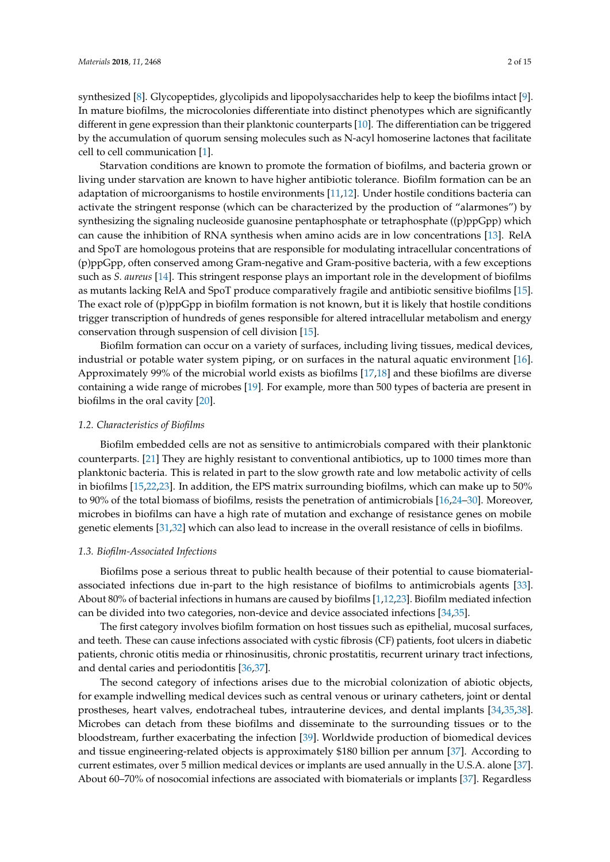synthesized [\[8\]](#page-8-6). Glycopeptides, glycolipids and lipopolysaccharides help to keep the biofilms intact [\[9\]](#page-8-7). In mature biofilms, the microcolonies differentiate into distinct phenotypes which are significantly different in gene expression than their planktonic counterparts [\[10\]](#page-8-8). The differentiation can be triggered by the accumulation of quorum sensing molecules such as N-acyl homoserine lactones that facilitate cell to cell communication [\[1\]](#page-8-0).

Starvation conditions are known to promote the formation of biofilms, and bacteria grown or living under starvation are known to have higher antibiotic tolerance. Biofilm formation can be an adaptation of microorganisms to hostile environments [\[11,](#page-8-9)[12\]](#page-8-10). Under hostile conditions bacteria can activate the stringent response (which can be characterized by the production of "alarmones") by synthesizing the signaling nucleoside guanosine pentaphosphate or tetraphosphate ((p)ppGpp) which can cause the inhibition of RNA synthesis when amino acids are in low concentrations [\[13\]](#page-9-0). RelA and SpoT are homologous proteins that are responsible for modulating intracellular concentrations of (p)ppGpp, often conserved among Gram-negative and Gram-positive bacteria, with a few exceptions such as *S. aureus* [\[14\]](#page-9-1). This stringent response plays an important role in the development of biofilms as mutants lacking RelA and SpoT produce comparatively fragile and antibiotic sensitive biofilms [\[15\]](#page-9-2). The exact role of (p)ppGpp in biofilm formation is not known, but it is likely that hostile conditions trigger transcription of hundreds of genes responsible for altered intracellular metabolism and energy conservation through suspension of cell division [\[15\]](#page-9-2).

Biofilm formation can occur on a variety of surfaces, including living tissues, medical devices, industrial or potable water system piping, or on surfaces in the natural aquatic environment [\[16\]](#page-9-3). Approximately 99% of the microbial world exists as biofilms [\[17](#page-9-4)[,18\]](#page-9-5) and these biofilms are diverse containing a wide range of microbes [\[19\]](#page-9-6). For example, more than 500 types of bacteria are present in biofilms in the oral cavity [\[20\]](#page-9-7).

#### *1.2. Characteristics of Biofilms*

Biofilm embedded cells are not as sensitive to antimicrobials compared with their planktonic counterparts. [\[21\]](#page-9-8) They are highly resistant to conventional antibiotics, up to 1000 times more than planktonic bacteria. This is related in part to the slow growth rate and low metabolic activity of cells in biofilms [\[15](#page-9-2)[,22](#page-9-9)[,23\]](#page-9-10). In addition, the EPS matrix surrounding biofilms, which can make up to 50% to 90% of the total biomass of biofilms, resists the penetration of antimicrobials [\[16,](#page-9-3)[24](#page-9-11)[–30\]](#page-9-12). Moreover, microbes in biofilms can have a high rate of mutation and exchange of resistance genes on mobile genetic elements [\[31,](#page-9-13)[32\]](#page-9-14) which can also lead to increase in the overall resistance of cells in biofilms.

#### *1.3. Biofilm-Associated Infections*

Biofilms pose a serious threat to public health because of their potential to cause biomaterialassociated infections due in-part to the high resistance of biofilms to antimicrobials agents [\[33\]](#page-9-15). About 80% of bacterial infections in humans are caused by biofilms [\[1](#page-8-0)[,12](#page-8-10)[,23\]](#page-9-10). Biofilm mediated infection can be divided into two categories, non-device and device associated infections [\[34,](#page-9-16)[35\]](#page-9-17).

The first category involves biofilm formation on host tissues such as epithelial, mucosal surfaces, and teeth. These can cause infections associated with cystic fibrosis (CF) patients, foot ulcers in diabetic patients, chronic otitis media or rhinosinusitis, chronic prostatitis, recurrent urinary tract infections, and dental caries and periodontitis [\[36](#page-9-18)[,37\]](#page-10-0).

The second category of infections arises due to the microbial colonization of abiotic objects, for example indwelling medical devices such as central venous or urinary catheters, joint or dental prostheses, heart valves, endotracheal tubes, intrauterine devices, and dental implants [\[34,](#page-9-16)[35,](#page-9-17)[38\]](#page-10-1). Microbes can detach from these biofilms and disseminate to the surrounding tissues or to the bloodstream, further exacerbating the infection [\[39\]](#page-10-2). Worldwide production of biomedical devices and tissue engineering-related objects is approximately \$180 billion per annum [\[37\]](#page-10-0). According to current estimates, over 5 million medical devices or implants are used annually in the U.S.A. alone [\[37\]](#page-10-0). About 60–70% of nosocomial infections are associated with biomaterials or implants [\[37\]](#page-10-0). Regardless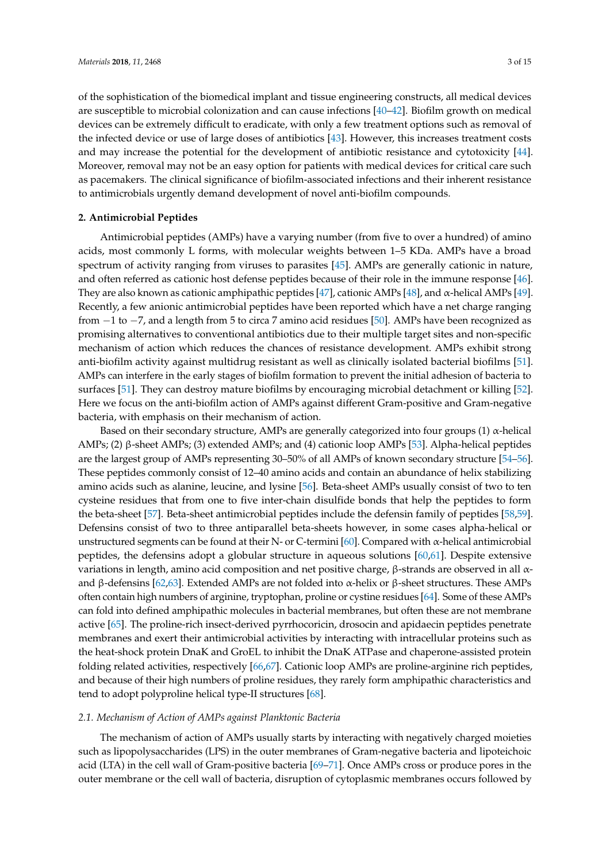of the sophistication of the biomedical implant and tissue engineering constructs, all medical devices are susceptible to microbial colonization and can cause infections [\[40–](#page-10-3)[42\]](#page-10-4). Biofilm growth on medical devices can be extremely difficult to eradicate, with only a few treatment options such as removal of the infected device or use of large doses of antibiotics [\[43\]](#page-10-5). However, this increases treatment costs and may increase the potential for the development of antibiotic resistance and cytotoxicity [\[44\]](#page-10-6). Moreover, removal may not be an easy option for patients with medical devices for critical care such as pacemakers. The clinical significance of biofilm-associated infections and their inherent resistance to antimicrobials urgently demand development of novel anti-biofilm compounds.

## **2. Antimicrobial Peptides**

Antimicrobial peptides (AMPs) have a varying number (from five to over a hundred) of amino acids, most commonly L forms, with molecular weights between 1–5 KDa. AMPs have a broad spectrum of activity ranging from viruses to parasites [\[45\]](#page-10-7). AMPs are generally cationic in nature, and often referred as cationic host defense peptides because of their role in the immune response [\[46\]](#page-10-8). They are also known as cationic amphipathic peptides [\[47\]](#page-10-9), cationic AMPs [\[48\]](#page-10-10), and  $\alpha$ -helical AMPs [\[49\]](#page-10-11). Recently, a few anionic antimicrobial peptides have been reported which have a net charge ranging from −1 to −7, and a length from 5 to circa 7 amino acid residues [\[50\]](#page-10-12). AMPs have been recognized as promising alternatives to conventional antibiotics due to their multiple target sites and non-specific mechanism of action which reduces the chances of resistance development. AMPs exhibit strong anti-biofilm activity against multidrug resistant as well as clinically isolated bacterial biofilms [\[51\]](#page-10-13). AMPs can interfere in the early stages of biofilm formation to prevent the initial adhesion of bacteria to surfaces [\[51\]](#page-10-13). They can destroy mature biofilms by encouraging microbial detachment or killing [\[52\]](#page-10-14). Here we focus on the anti-biofilm action of AMPs against different Gram-positive and Gram-negative bacteria, with emphasis on their mechanism of action.

Based on their secondary structure, AMPs are generally categorized into four groups (1)  $\alpha$ -helical AMPs; (2) β-sheet AMPs; (3) extended AMPs; and (4) cationic loop AMPs [\[53\]](#page-10-15). Alpha-helical peptides are the largest group of AMPs representing 30–50% of all AMPs of known secondary structure [\[54–](#page-10-16)[56\]](#page-10-17). These peptides commonly consist of 12–40 amino acids and contain an abundance of helix stabilizing amino acids such as alanine, leucine, and lysine [\[56\]](#page-10-17). Beta-sheet AMPs usually consist of two to ten cysteine residues that from one to five inter-chain disulfide bonds that help the peptides to form the beta-sheet [\[57\]](#page-10-18). Beta-sheet antimicrobial peptides include the defensin family of peptides [\[58](#page-10-19)[,59\]](#page-10-20). Defensins consist of two to three antiparallel beta-sheets however, in some cases alpha-helical or unstructured segments can be found at their N- or C-termini [\[60\]](#page-10-21). Compared with α-helical antimicrobial peptides, the defensins adopt a globular structure in aqueous solutions [\[60](#page-10-21)[,61\]](#page-10-22). Despite extensive variations in length, amino acid composition and net positive charge, β-strands are observed in all αand β-defensins [\[62,](#page-10-23)[63\]](#page-10-24). Extended AMPs are not folded into α-helix or β-sheet structures. These AMPs often contain high numbers of arginine, tryptophan, proline or cystine residues [\[64\]](#page-11-0). Some of these AMPs can fold into defined amphipathic molecules in bacterial membranes, but often these are not membrane active [\[65\]](#page-11-1). The proline-rich insect-derived pyrrhocoricin, drosocin and apidaecin peptides penetrate membranes and exert their antimicrobial activities by interacting with intracellular proteins such as the heat-shock protein DnaK and GroEL to inhibit the DnaK ATPase and chaperone-assisted protein folding related activities, respectively [\[66](#page-11-2)[,67\]](#page-11-3). Cationic loop AMPs are proline-arginine rich peptides, and because of their high numbers of proline residues, they rarely form amphipathic characteristics and tend to adopt polyproline helical type-II structures [\[68\]](#page-11-4).

### *2.1. Mechanism of Action of AMPs against Planktonic Bacteria*

The mechanism of action of AMPs usually starts by interacting with negatively charged moieties such as lipopolysaccharides (LPS) in the outer membranes of Gram-negative bacteria and lipoteichoic acid (LTA) in the cell wall of Gram-positive bacteria [\[69–](#page-11-5)[71\]](#page-11-6). Once AMPs cross or produce pores in the outer membrane or the cell wall of bacteria, disruption of cytoplasmic membranes occurs followed by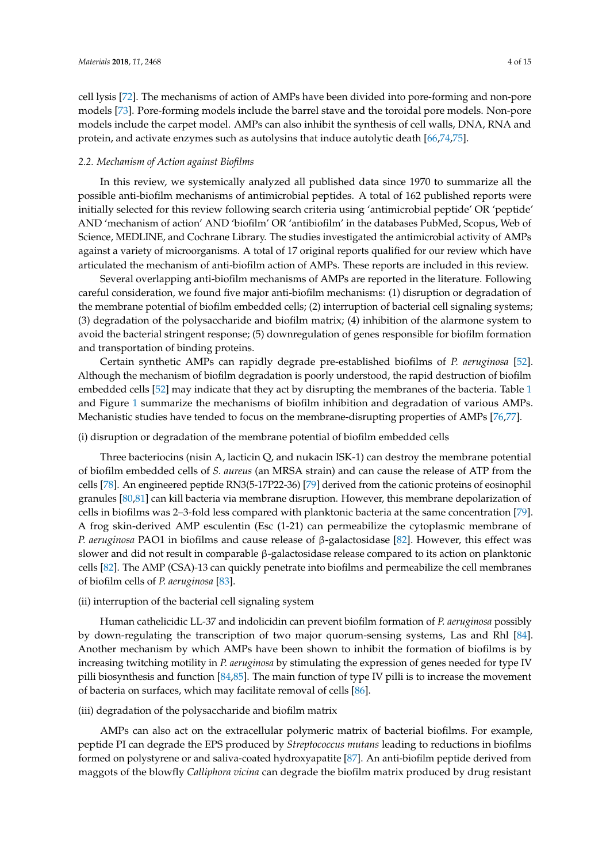cell lysis [\[72\]](#page-11-7). The mechanisms of action of AMPs have been divided into pore-forming and non-pore models [\[73\]](#page-11-8). Pore-forming models include the barrel stave and the toroidal pore models. Non-pore models include the carpet model. AMPs can also inhibit the synthesis of cell walls, DNA, RNA and protein, and activate enzymes such as autolysins that induce autolytic death [\[66](#page-11-2)[,74](#page-11-9)[,75\]](#page-11-10).

## *2.2. Mechanism of Action against Biofilms*

In this review, we systemically analyzed all published data since 1970 to summarize all the possible anti-biofilm mechanisms of antimicrobial peptides. A total of 162 published reports were initially selected for this review following search criteria using 'antimicrobial peptide' OR 'peptide' AND 'mechanism of action' AND 'biofilm' OR 'antibiofilm' in the databases PubMed, Scopus, Web of Science, MEDLINE, and Cochrane Library. The studies investigated the antimicrobial activity of AMPs against a variety of microorganisms. A total of 17 original reports qualified for our review which have articulated the mechanism of anti-biofilm action of AMPs. These reports are included in this review.

Several overlapping anti-biofilm mechanisms of AMPs are reported in the literature. Following careful consideration, we found five major anti-biofilm mechanisms: (1) disruption or degradation of the membrane potential of biofilm embedded cells; (2) interruption of bacterial cell signaling systems; (3) degradation of the polysaccharide and biofilm matrix; (4) inhibition of the alarmone system to avoid the bacterial stringent response; (5) downregulation of genes responsible for biofilm formation and transportation of binding proteins.

Certain synthetic AMPs can rapidly degrade pre-established biofilms of *P. aeruginosa* [\[52\]](#page-10-14). Although the mechanism of biofilm degradation is poorly understood, the rapid destruction of biofilm embedded cells [\[52\]](#page-10-14) may indicate that they act by disrupting the membranes of the bacteria. Table [1](#page-5-0) and Figure [1](#page-4-0) summarize the mechanisms of biofilm inhibition and degradation of various AMPs. Mechanistic studies have tended to focus on the membrane-disrupting properties of AMPs [\[76,](#page-11-11)[77\]](#page-11-12).

## (i) disruption or degradation of the membrane potential of biofilm embedded cells

Three bacteriocins (nisin A, lacticin Q, and nukacin ISK-1) can destroy the membrane potential of biofilm embedded cells of *S. aureus* (an MRSA strain) and can cause the release of ATP from the cells [\[78\]](#page-11-13). An engineered peptide RN3(5-17P22-36) [\[79\]](#page-11-14) derived from the cationic proteins of eosinophil granules [\[80,](#page-11-15)[81\]](#page-11-16) can kill bacteria via membrane disruption. However, this membrane depolarization of cells in biofilms was 2–3-fold less compared with planktonic bacteria at the same concentration [\[79\]](#page-11-14). A frog skin-derived AMP esculentin (Esc (1-21) can permeabilize the cytoplasmic membrane of *P. aeruginosa* PAO1 in biofilms and cause release of β-galactosidase [\[82\]](#page-11-17). However, this effect was slower and did not result in comparable β-galactosidase release compared to its action on planktonic cells [\[82\]](#page-11-17). The AMP (CSA)-13 can quickly penetrate into biofilms and permeabilize the cell membranes of biofilm cells of *P. aeruginosa* [\[83\]](#page-11-18).

### (ii) interruption of the bacterial cell signaling system

Human cathelicidic LL-37 and indolicidin can prevent biofilm formation of *P. aeruginosa* possibly by down-regulating the transcription of two major quorum-sensing systems, Las and Rhl [\[84\]](#page-11-19). Another mechanism by which AMPs have been shown to inhibit the formation of biofilms is by increasing twitching motility in *P. aeruginosa* by stimulating the expression of genes needed for type IV pilli biosynthesis and function [\[84](#page-11-19)[,85\]](#page-12-0). The main function of type IV pilli is to increase the movement of bacteria on surfaces, which may facilitate removal of cells [\[86\]](#page-12-1).

## (iii) degradation of the polysaccharide and biofilm matrix

AMPs can also act on the extracellular polymeric matrix of bacterial biofilms. For example, peptide PI can degrade the EPS produced by *Streptococcus mutans* leading to reductions in biofilms formed on polystyrene or and saliva-coated hydroxyapatite [\[87\]](#page-12-2). An anti-biofilm peptide derived from maggots of the blowfly *Calliphora vicina* can degrade the biofilm matrix produced by drug resistant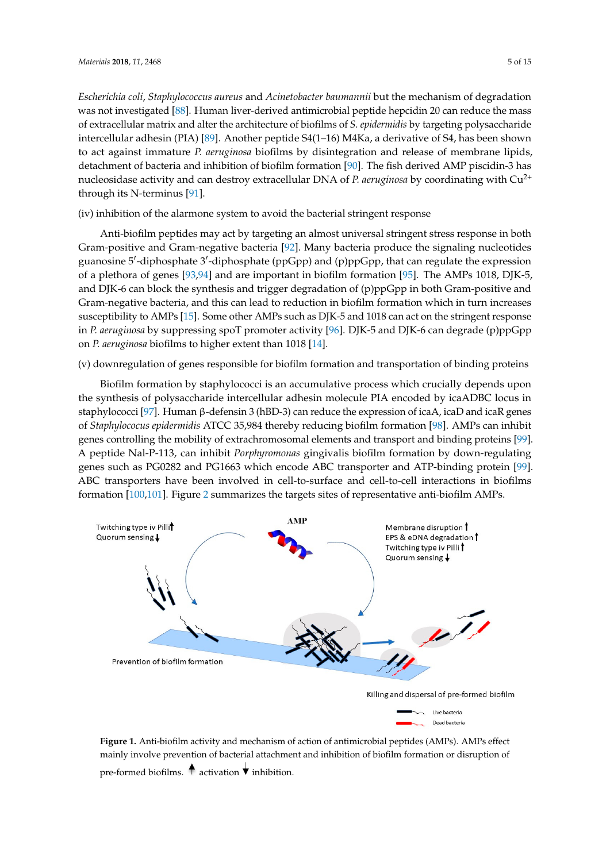Escherichia coli, Staphylococcus aureus and Acinetobacter baumannii but the mechanism of degradation was not investigated [\[88\]](#page-12-3). Human liver-derived antimicrobial peptide hepcidin 20 can reduce the mass of extracellular matrix and alter the architecture of biofilms of *S. epidermidis* by targeting polysaccharide intercellular adhesin (PIA) [\[89\]](#page-12-4). Another peptide S4(1-16) M4Ka, a derivative of S4, has been shown to act against immature *P. aeruginosa* biofilms by disintegration and release of membrane lipids, detachment of bacteria and inhibition of biofilm formation [\[90\]](#page-12-5). The fish derived AMP piscidin-3 has nucleosidase activity and can destroy extracellular DNA of *P. aeruginosa* by coordinating with Cu<sup>2+</sup> through its N-terminus [\[91\]](#page-12-6).

# (iv) inhibition of the alarmone system to avoid the bacterial stringent response Anti-biofilm peptides may act by targeting an almost universal stringent stress response in both

Anti-biofilm peptides may act by targeting an almost universal stringent stress response in both Gram-positive and Gram-negative bacteria [92]. Many bacteria produce the signaling nucleotides guanosine 5'-diphosphate 3'-diphosphate (ppGpp) and (p)ppGpp, that can regulate the expression of a plethora of genes [93,94] and are important in biofilm formation [95]. The AMPs 1018, DJK-5, and DJK-6 can block the synthesis and trigger degradation of (p)ppGpp in both Gram-positive and Gram-negative bacteria, and this can lead to reduction in biofilm formation which in turn increases susceptibility to AMPs [\[15\]](#page-9-2). Some other AMPs such as DJK-5 and 1018 can act on the stringent response in *P. aeruginosa* by suppressing spoT promoter activity [\[96\]](#page-12-11). DJK-5 and DJK-6 can degrade (p)ppGpp on *P. aeruginosa* biofilms to higher extent than 1018 [\[14\]](#page-9-1).

(v) downregulation of genes responsible for biofilm formation and transportation of binding proteins Biofilm formation by staphylococci is an accumulative process which crucially depends upon the synthesis of polysis of polysis of produce interesting intervellular and transportation of binding protein

Biofilm formation by staphylococci is an accumulative process which crucially depends upon the synthesis of polysaccharide intercellular adhesin molecule PIA encoded by icaADBC locus in staphylococci [\[97\]](#page-12-12). Human β-defensin 3 (hBD-3) can reduce the expression of icaA, icaD and icaR genes of Staphylococus epidermidis ATCC 35,984 thereby reducing biofilm f[orm](#page-12-13)ation [98]. AMPs can inhibit genes controlling the mobility of extrachromosomal elements and transport and binding proteins [\[99\]](#page-12-14). A peptide Nal-P-113, can inhibit *Porphyromonas* gingivalis biofilm formation by down-regulating genes such as PG0282 and PG1663 which encode ABC transporter and ATP-binding protein [\[99\]](#page-12-14). ABC transporters have been involved in cell-to-surface and cell-to-cell interactions in biofilms formation [\[100,](#page-12-15)[101\]](#page-12-16). Figure [2](#page-6-0) summarizes the targets sites of representative anti-biofilm AMPs.

<span id="page-4-0"></span>

Figure 1. Anti-biofilm activity and mechanism of action of antimicrobial peptides (AMPs). AMPs effect mainly involve prevention of bacterial attachment and inhibition of biofilm formation or disruption of pre-formed biofilms.  $\top$  activation  $\blacktriangledown$  inhibition.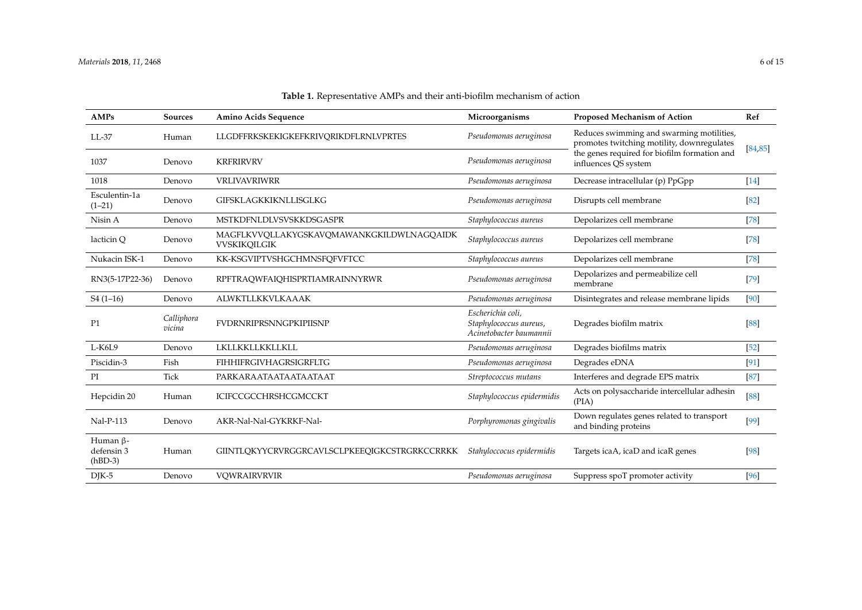<span id="page-5-0"></span>

| <b>AMPs</b>                                     | <b>Sources</b>       | Amino Acids Sequence                                                                                            | Microorganisms                                                                                                    | Proposed Mechanism of Action                                         |          |
|-------------------------------------------------|----------------------|-----------------------------------------------------------------------------------------------------------------|-------------------------------------------------------------------------------------------------------------------|----------------------------------------------------------------------|----------|
| $LL-37$                                         | Human                | LLGDFFRKSKEKIGKEFKRIVQRIKDFLRNLVPRTES                                                                           | Reduces swimming and swarming motilities,<br>Pseudomonas aeruginosa<br>promotes twitching motility, downregulates |                                                                      | [84, 85] |
| 1037                                            | Denovo               | <b>KRFRIRVRV</b>                                                                                                | Pseudomonas aeruginosa                                                                                            | the genes required for biofilm formation and<br>influences QS system |          |
| 1018                                            | Denovo               | VRLIVAVRIWRR                                                                                                    | Pseudomonas aeruginosa                                                                                            | Decrease intracellular (p) PpGpp                                     | $[14]$   |
| Esculentin-1a<br>$(1-21)$                       | Denovo               | GIFSKLAGKKIKNLLISGLKG                                                                                           | Pseudomonas aeruginosa                                                                                            | Disrupts cell membrane<br>[82]                                       |          |
| Nisin A                                         | Denovo               | <b>MSTKDFNLDLVSVSKKDSGASPR</b>                                                                                  | Staphylococcus aureus                                                                                             | Depolarizes cell membrane<br>$[78]$                                  |          |
| lacticin Q                                      | Denovo               | MAGFLKVVQLLAKYGSKAVQMAWANKGKILDWLNAGQAIDK<br>Staphylococcus aureus<br>Depolarizes cell membrane<br>VVSKIKQILGIK |                                                                                                                   |                                                                      | $[78]$   |
| Nukacin ISK-1                                   | Denovo               | KK-KSGVIPTVSHGCHMNSFQFVFTCC                                                                                     | Staphylococcus aureus                                                                                             | Depolarizes cell membrane<br>$[78]$                                  |          |
| RN3(5-17P22-36)                                 | Denovo               | RPFTRAQWFAIQHISPRTIAMRAINNYRWR                                                                                  | Depolarizes and permeabilize cell<br>Pseudomonas aeruginosa<br>membrane                                           |                                                                      | $[79]$   |
| $S4(1-16)$                                      | Denovo               | ALWKTLLKKVLKAAAK                                                                                                | Pseudomonas aeruginosa                                                                                            | Disintegrates and release membrane lipids                            |          |
| P1                                              | Calliphora<br>vicina | <b>FVDRNRIPRSNNGPKIPIISNP</b>                                                                                   | Escherichia coli,<br>Staphylococcus aureus,<br>Degrades biofilm matrix<br>Acinetobacter baumannii                 |                                                                      | [88]     |
| L-K6L9                                          | Denovo               | LKLLKKLLKKLLKLL                                                                                                 | Pseudomonas aeruginosa                                                                                            | Degrades biofilms matrix<br>$[52]$                                   |          |
| Piscidin-3                                      | Fish                 | FIHHIFRGIVHAGRSIGRFLTG                                                                                          | Pseudomonas aeruginosa                                                                                            | Degrades eDNA                                                        |          |
| PI                                              | Tick                 | PARKARAATAATAATAATAAT                                                                                           | Streptococcus mutans                                                                                              | Interferes and degrade EPS matrix                                    |          |
| Hepcidin 20                                     | Human                | <b>ICIFCCGCCHRSHCGMCCKT</b>                                                                                     | Staphylococcus epidermidis                                                                                        | Acts on polysaccharide intercellular adhesin<br>(PIA)                | [88]     |
| Nal-P-113                                       | Denovo               | AKR-Nal-Nal-GYKRKF-Nal-                                                                                         | Down regulates genes related to transport<br>Porphyromonas gingivalis<br>and binding proteins                     |                                                                      | $[99]$   |
| Human <sub>B</sub> -<br>defensin 3<br>$(hBD-3)$ | Human                | GIINTLQKYYCRVRGGRCAVLSCLPKEEQIGKCSTRGRKCCRRKK                                                                   | Stahyloccocus epidermidis                                                                                         | Targets icaA, icaD and icaR genes<br>[98]                            |          |
| $DIK-5$                                         | Denovo               | <b>VOWRAIRVRVIR</b>                                                                                             | Pseudomonas aeruginosa                                                                                            | Suppress spoT promoter activity<br>[96]                              |          |

|  |  |  |  |  |  | <b>Table 1.</b> Representative AMPs and their anti-biofilm mechanism of action |  |
|--|--|--|--|--|--|--------------------------------------------------------------------------------|--|
|--|--|--|--|--|--|--------------------------------------------------------------------------------|--|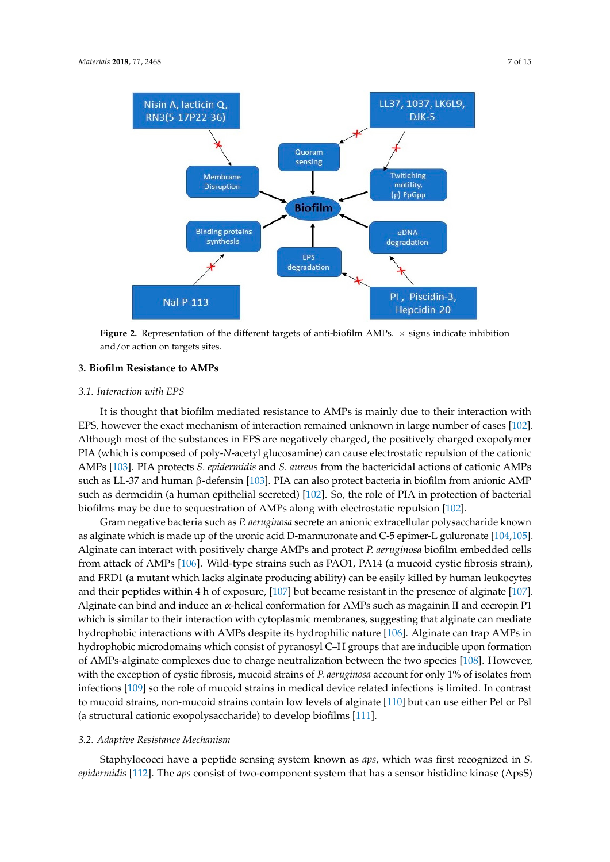<span id="page-6-0"></span>

**EXECUTE 1** and/or action on targets sites. and/or action on targets sites. **Figure 2.** Representation of the different targets of anti-biofilm AMPs.  $\times$  signs indicate inhibition

### **3. Biofilm Resistance to AMPs**

## *3.1. Interaction with EPS*

*3.1. Interaction with EPS*  It is thought that biofilm mediated resistance to AMPs is mainly due to their interaction with EPS, however the exact mechanism of interaction remained unknown in large number of cases [\[102\]](#page-12-25). Although most of the substances in EPS are negatively charged, the positively charged exopolymer PIA (which is composed of poly-N-acetyl glucosamine) can cause electrostatic repulsion of the cationic AMPs [103]. PIA protects *S. epidermidis* and *S. aureus* from the bactericidal actions of cationic AMPs such as LL-37 and human β-defensin [103]. PIA can also protect bacteria in biofilm from anionic AMP such as dermcidin (a human epithelial secreted) [102]. So, the role of PIA in protection of bacterial biofilms may be due to sequestration of AMPs along with electrostatic repulsion [102]. PIA (which is composed of poly-*N*-acetyl glucosamine) can cause electrostatic repulsion of the cationic AMPs [\[103\]](#page-12-26). PIA protects *S. epidermidis* and *S. aureus* from the bactericidal actions of cationic AMPs such as LL

Gram negative bacteria such as *P. aeruginosa* secrete an anionic extracellular polysaccharide known as alginate which is made up of the uronic acid D-mannuronate and C-5 epimer-L guluronate [104,105]. Alginate can interact with positively charge AMPs and protect P. aeruginosa biofilm embedded cells Alginate can interact with positively charge AMPs and protect *P. aeruginosa* biofilm embedded cells<br>from attack of AMPs [\[106\]](#page-13-1). Wild-type strains such as PAO1, PA14 (a mucoid cystic fibrosis strain), and FRD1 (a mutant which lacks alginate producing ability) can be easily killed by human leukocytes and FRD1 (a mutant which lacks alginate producing ability) can be easily killed by human leukocytes<br>and their peptides within 4 h of exposure, [\[107\]](#page-13-2) but became resistant in the presence of alginate [107]. Alginate can bind and induce an  $\alpha$ -helical conformation for AMPs such as magainin II and cecropin P1 which is similar to their interaction with cytoplasmic membranes, suggesting that alginate can mediate hydrophobic interactions with AMPs despite its hydrophilic nature [106]. Alginate can trap AMPs in hydrophobic microdomains which consist of pyranosyl C-H groups that are inducible upon formation of AMPs-alginate complexes due to charge neutralization between the two species  $[108]$ . However, with the exception of cystic fibrosis, mucoid strains of *P. aeruginosa* account for only 1% of isolates from infections [109] so the role of mucoid strains in medical device related infections is limited. In contrast to mucoid strains, non-mucoid strains contain low levels of alginate [110] but can use either Pel or Psl<br>(a structural cationic exopolysaccharide) to develop biofilms [\[111\]](#page-13-6). (a structural cationic exopolysaccharide) to develop biofilms [111]. Alginate can bind and induce an  $\alpha$ -helical conformation for AMPs such as magainin II and cecropin P1 which is similar to their interaction with cytoplasmic membranes, suggesting that alginate can mediate hydrophobic int

# strains contain low levels of alginate [110] but can use either Pel or Psl (a structural cationic 3.2. Adaptive Resistance Mechanism

Staphylococci have a peptide sensing system known as *aps*, which was first recognized in *S. epidermidis* [\[112\]](#page-13-7). The *aps* consist of two-component system that has a sensor histidine kinase (ApsS)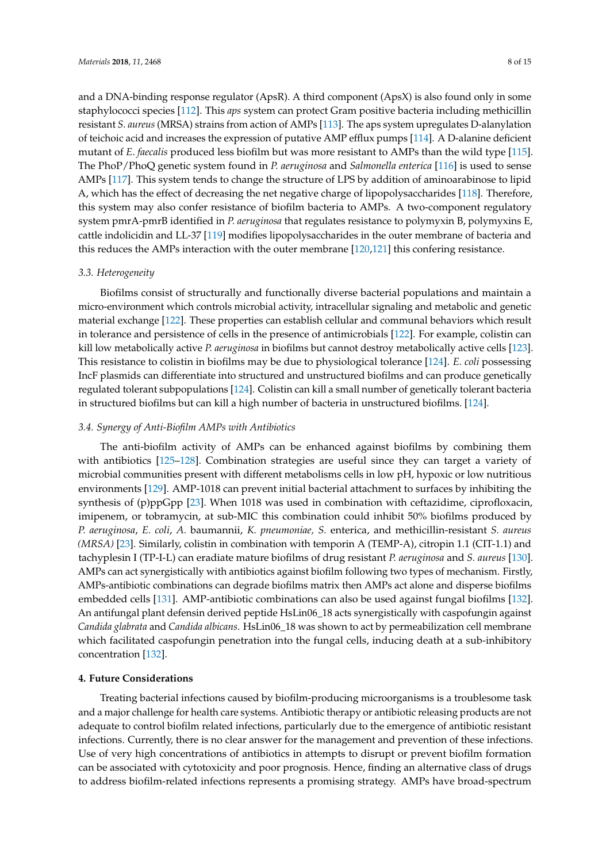and a DNA-binding response regulator (ApsR). A third component (ApsX) is also found only in some staphylococci species [\[112\]](#page-13-7). This *aps* system can protect Gram positive bacteria including methicillin resistant *S. aureus* (MRSA) strains from action of AMPs [\[113\]](#page-13-8). The aps system upregulates D-alanylation of teichoic acid and increases the expression of putative AMP efflux pumps [\[114\]](#page-13-9). A D-alanine deficient mutant of *E*. *faecalis* produced less biofilm but was more resistant to AMPs than the wild type [\[115\]](#page-13-10). The PhoP/PhoQ genetic system found in *P. aeruginosa* and *Salmonella enterica* [\[116\]](#page-13-11) is used to sense AMPs [\[117\]](#page-13-12). This system tends to change the structure of LPS by addition of aminoarabinose to lipid A, which has the effect of decreasing the net negative charge of lipopolysaccharides [\[118\]](#page-13-13). Therefore, this system may also confer resistance of biofilm bacteria to AMPs. A two-component regulatory system pmrA-pmrB identified in *P. aeruginosa* that regulates resistance to polymyxin B, polymyxins E, cattle indolicidin and LL-37 [\[119\]](#page-13-14) modifies lipopolysaccharides in the outer membrane of bacteria and this reduces the AMPs interaction with the outer membrane [\[120](#page-13-15)[,121\]](#page-13-16) this confering resistance.

#### *3.3. Heterogeneity*

Biofilms consist of structurally and functionally diverse bacterial populations and maintain a micro-environment which controls microbial activity, intracellular signaling and metabolic and genetic material exchange [\[122\]](#page-13-17). These properties can establish cellular and communal behaviors which result in tolerance and persistence of cells in the presence of antimicrobials [\[122\]](#page-13-17). For example, colistin can kill low metabolically active *P. aeruginosa* in biofilms but cannot destroy metabolically active cells [\[123\]](#page-13-18). This resistance to colistin in biofilms may be due to physiological tolerance [\[124\]](#page-13-19). *E. coli* possessing IncF plasmids can differentiate into structured and unstructured biofilms and can produce genetically regulated tolerant subpopulations [\[124\]](#page-13-19). Colistin can kill a small number of genetically tolerant bacteria in structured biofilms but can kill a high number of bacteria in unstructured biofilms. [\[124\]](#page-13-19).

#### *3.4. Synergy of Anti-Biofilm AMPs with Antibiotics*

The anti-biofilm activity of AMPs can be enhanced against biofilms by combining them with antibiotics [\[125–](#page-13-20)[128\]](#page-14-0). Combination strategies are useful since they can target a variety of microbial communities present with different metabolisms cells in low pH, hypoxic or low nutritious environments [\[129\]](#page-14-1). AMP-1018 can prevent initial bacterial attachment to surfaces by inhibiting the synthesis of (p)ppGpp [\[23\]](#page-9-10). When 1018 was used in combination with ceftazidime, ciprofloxacin, imipenem, or tobramycin, at sub-MIC this combination could inhibit 50% biofilms produced by *P. aeruginosa*, *E. coli*, *A.* baumannii, *K. pneumoniae, S.* enterica, and methicillin-resistant *S. aureus (MRSA)* [\[23\]](#page-9-10). Similarly, colistin in combination with temporin A (TEMP-A), citropin 1.1 (CIT-1.1) and tachyplesin I (TP-I-L) can eradiate mature biofilms of drug resistant *P. aeruginosa* and *S. aureus* [\[130\]](#page-14-2). AMPs can act synergistically with antibiotics against biofilm following two types of mechanism. Firstly, AMPs-antibiotic combinations can degrade biofilms matrix then AMPs act alone and disperse biofilms embedded cells [\[131\]](#page-14-3). AMP-antibiotic combinations can also be used against fungal biofilms [\[132\]](#page-14-4). An antifungal plant defensin derived peptide HsLin06\_18 acts synergistically with caspofungin against *Candida glabrata* and *Candida albicans*. HsLin06\_18 was shown to act by permeabilization cell membrane which facilitated caspofungin penetration into the fungal cells, inducing death at a sub-inhibitory concentration [\[132\]](#page-14-4).

#### **4. Future Considerations**

Treating bacterial infections caused by biofilm-producing microorganisms is a troublesome task and a major challenge for health care systems. Antibiotic therapy or antibiotic releasing products are not adequate to control biofilm related infections, particularly due to the emergence of antibiotic resistant infections. Currently, there is no clear answer for the management and prevention of these infections. Use of very high concentrations of antibiotics in attempts to disrupt or prevent biofilm formation can be associated with cytotoxicity and poor prognosis. Hence, finding an alternative class of drugs to address biofilm-related infections represents a promising strategy. AMPs have broad-spectrum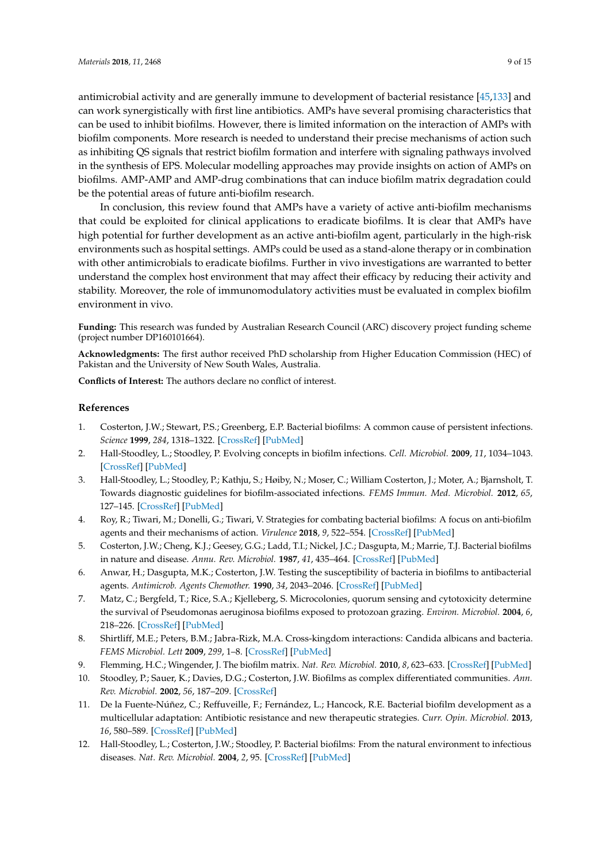antimicrobial activity and are generally immune to development of bacterial resistance [\[45](#page-10-7)[,133\]](#page-14-5) and can work synergistically with first line antibiotics. AMPs have several promising characteristics that can be used to inhibit biofilms. However, there is limited information on the interaction of AMPs with biofilm components. More research is needed to understand their precise mechanisms of action such as inhibiting QS signals that restrict biofilm formation and interfere with signaling pathways involved in the synthesis of EPS. Molecular modelling approaches may provide insights on action of AMPs on biofilms. AMP-AMP and AMP-drug combinations that can induce biofilm matrix degradation could be the potential areas of future anti-biofilm research.

In conclusion, this review found that AMPs have a variety of active anti-biofilm mechanisms that could be exploited for clinical applications to eradicate biofilms. It is clear that AMPs have high potential for further development as an active anti-biofilm agent, particularly in the high-risk environments such as hospital settings. AMPs could be used as a stand-alone therapy or in combination with other antimicrobials to eradicate biofilms. Further in vivo investigations are warranted to better understand the complex host environment that may affect their efficacy by reducing their activity and stability. Moreover, the role of immunomodulatory activities must be evaluated in complex biofilm environment in vivo.

**Funding:** This research was funded by Australian Research Council (ARC) discovery project funding scheme (project number DP160101664).

**Acknowledgments:** The first author received PhD scholarship from Higher Education Commission (HEC) of Pakistan and the University of New South Wales, Australia.

**Conflicts of Interest:** The authors declare no conflict of interest.

### **References**

- <span id="page-8-0"></span>1. Costerton, J.W.; Stewart, P.S.; Greenberg, E.P. Bacterial biofilms: A common cause of persistent infections. *Science* **1999**, *284*, 1318–1322. [\[CrossRef\]](http://dx.doi.org/10.1126/science.284.5418.1318) [\[PubMed\]](http://www.ncbi.nlm.nih.gov/pubmed/10334980)
- <span id="page-8-1"></span>2. Hall-Stoodley, L.; Stoodley, P. Evolving concepts in biofilm infections. *Cell. Microbiol.* **2009**, *11*, 1034–1043. [\[CrossRef\]](http://dx.doi.org/10.1111/j.1462-5822.2009.01323.x) [\[PubMed\]](http://www.ncbi.nlm.nih.gov/pubmed/19374653)
- <span id="page-8-2"></span>3. Hall-Stoodley, L.; Stoodley, P.; Kathju, S.; Høiby, N.; Moser, C.; William Costerton, J.; Moter, A.; Bjarnsholt, T. Towards diagnostic guidelines for biofilm-associated infections. *FEMS Immun. Med. Microbiol.* **2012**, *65*, 127–145. [\[CrossRef\]](http://dx.doi.org/10.1111/j.1574-695X.2012.00968.x) [\[PubMed\]](http://www.ncbi.nlm.nih.gov/pubmed/22469292)
- <span id="page-8-3"></span>4. Roy, R.; Tiwari, M.; Donelli, G.; Tiwari, V. Strategies for combating bacterial biofilms: A focus on anti-biofilm agents and their mechanisms of action. *Virulence* **2018**, *9*, 522–554. [\[CrossRef\]](http://dx.doi.org/10.1080/21505594.2017.1313372) [\[PubMed\]](http://www.ncbi.nlm.nih.gov/pubmed/28362216)
- <span id="page-8-4"></span>5. Costerton, J.W.; Cheng, K.J.; Geesey, G.G.; Ladd, T.I.; Nickel, J.C.; Dasgupta, M.; Marrie, T.J. Bacterial biofilms in nature and disease. *Annu. Rev. Microbiol.* **1987**, *41*, 435–464. [\[CrossRef\]](http://dx.doi.org/10.1146/annurev.mi.41.100187.002251) [\[PubMed\]](http://www.ncbi.nlm.nih.gov/pubmed/3318676)
- 6. Anwar, H.; Dasgupta, M.K.; Costerton, J.W. Testing the susceptibility of bacteria in biofilms to antibacterial agents. *Antimicrob. Agents Chemother.* **1990**, *34*, 2043–2046. [\[CrossRef\]](http://dx.doi.org/10.1128/AAC.34.11.2043) [\[PubMed\]](http://www.ncbi.nlm.nih.gov/pubmed/2073094)
- <span id="page-8-5"></span>7. Matz, C.; Bergfeld, T.; Rice, S.A.; Kjelleberg, S. Microcolonies, quorum sensing and cytotoxicity determine the survival of Pseudomonas aeruginosa biofilms exposed to protozoan grazing. *Environ. Microbiol.* **2004**, *6*, 218–226. [\[CrossRef\]](http://dx.doi.org/10.1111/j.1462-2920.2004.00556.x) [\[PubMed\]](http://www.ncbi.nlm.nih.gov/pubmed/14871206)
- <span id="page-8-6"></span>8. Shirtliff, M.E.; Peters, B.M.; Jabra-Rizk, M.A. Cross-kingdom interactions: Candida albicans and bacteria. *FEMS Microbiol. Lett* **2009**, *299*, 1–8. [\[CrossRef\]](http://dx.doi.org/10.1111/j.1574-6968.2009.01668.x) [\[PubMed\]](http://www.ncbi.nlm.nih.gov/pubmed/19552706)
- <span id="page-8-7"></span>9. Flemming, H.C.; Wingender, J. The biofilm matrix. *Nat. Rev. Microbiol.* **2010**, *8*, 623–633. [\[CrossRef\]](http://dx.doi.org/10.1038/nrmicro2415) [\[PubMed\]](http://www.ncbi.nlm.nih.gov/pubmed/20676145)
- <span id="page-8-8"></span>10. Stoodley, P.; Sauer, K.; Davies, D.G.; Costerton, J.W. Biofilms as complex differentiated communities. *Ann. Rev. Microbiol.* **2002**, *56*, 187–209. [\[CrossRef\]](http://dx.doi.org/10.1146/annurev.micro.56.012302.160705)
- <span id="page-8-9"></span>11. De la Fuente-Núñez, C.; Reffuveille, F.; Fernández, L.; Hancock, R.E. Bacterial biofilm development as a multicellular adaptation: Antibiotic resistance and new therapeutic strategies. *Curr. Opin. Microbiol.* **2013**, *16*, 580–589. [\[CrossRef\]](http://dx.doi.org/10.1016/j.mib.2013.06.013) [\[PubMed\]](http://www.ncbi.nlm.nih.gov/pubmed/23880136)
- <span id="page-8-10"></span>12. Hall-Stoodley, L.; Costerton, J.W.; Stoodley, P. Bacterial biofilms: From the natural environment to infectious diseases. *Nat. Rev. Microbiol.* **2004**, *2*, 95. [\[CrossRef\]](http://dx.doi.org/10.1038/nrmicro821) [\[PubMed\]](http://www.ncbi.nlm.nih.gov/pubmed/15040259)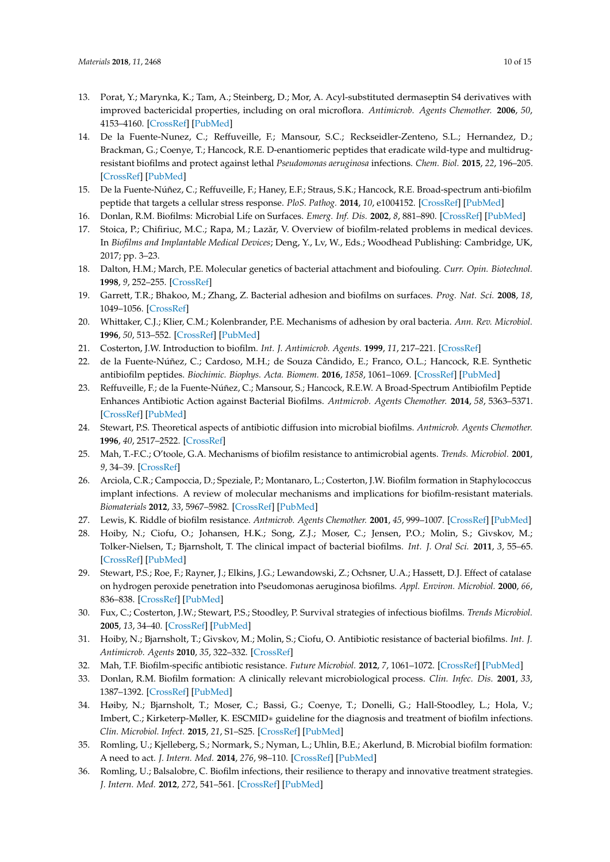- <span id="page-9-19"></span><span id="page-9-0"></span>13. Porat, Y.; Marynka, K.; Tam, A.; Steinberg, D.; Mor, A. Acyl-substituted dermaseptin S4 derivatives with improved bactericidal properties, including on oral microflora. *Antimicrob. Agents Chemother.* **2006**, *50*, 4153–4160. [\[CrossRef\]](http://dx.doi.org/10.1128/AAC.00750-06) [\[PubMed\]](http://www.ncbi.nlm.nih.gov/pubmed/17043126)
- <span id="page-9-1"></span>14. De la Fuente-Nunez, C.; Reffuveille, F.; Mansour, S.C.; Reckseidler-Zenteno, S.L.; Hernandez, D.; Brackman, G.; Coenye, T.; Hancock, R.E. D-enantiomeric peptides that eradicate wild-type and multidrugresistant biofilms and protect against lethal *Pseudomonas aeruginosa* infections. *Chem. Biol.* **2015**, *22*, 196–205. [\[CrossRef\]](http://dx.doi.org/10.1016/j.chembiol.2015.01.002) [\[PubMed\]](http://www.ncbi.nlm.nih.gov/pubmed/25699603)
- <span id="page-9-2"></span>15. De la Fuente-Núñez, C.; Reffuveille, F.; Haney, E.F.; Straus, S.K.; Hancock, R.E. Broad-spectrum anti-biofilm peptide that targets a cellular stress response. *PloS. Pathog.* **2014**, *10*, e1004152. [\[CrossRef\]](http://dx.doi.org/10.1371/journal.ppat.1004152) [\[PubMed\]](http://www.ncbi.nlm.nih.gov/pubmed/24852171)
- <span id="page-9-3"></span>16. Donlan, R.M. Biofilms: Microbial Life on Surfaces. *Emerg. Inf. Dis.* **2002**, *8*, 881–890. [\[CrossRef\]](http://dx.doi.org/10.3201/eid0809.020063) [\[PubMed\]](http://www.ncbi.nlm.nih.gov/pubmed/12194761)
- <span id="page-9-4"></span>17. Stoica, P.; Chifiriuc, M.C.; Rapa, M.; Lazăr, V. Overview of biofilm-related problems in medical devices. In *Biofilms and Implantable Medical Devices*; Deng, Y., Lv, W., Eds.; Woodhead Publishing: Cambridge, UK, 2017; pp. 3–23.
- <span id="page-9-5"></span>18. Dalton, H.M.; March, P.E. Molecular genetics of bacterial attachment and biofouling. *Curr. Opin. Biotechnol.* **1998**, *9*, 252–255. [\[CrossRef\]](http://dx.doi.org/10.1016/S0958-1669(98)80055-4)
- <span id="page-9-6"></span>19. Garrett, T.R.; Bhakoo, M.; Zhang, Z. Bacterial adhesion and biofilms on surfaces. *Prog. Nat. Sci.* **2008**, *18*, 1049–1056. [\[CrossRef\]](http://dx.doi.org/10.1016/j.pnsc.2008.04.001)
- <span id="page-9-7"></span>20. Whittaker, C.J.; Klier, C.M.; Kolenbrander, P.E. Mechanisms of adhesion by oral bacteria. *Ann. Rev. Microbiol.* **1996**, *50*, 513–552. [\[CrossRef\]](http://dx.doi.org/10.1146/annurev.micro.50.1.513) [\[PubMed\]](http://www.ncbi.nlm.nih.gov/pubmed/8905090)
- <span id="page-9-8"></span>21. Costerton, J.W. Introduction to biofilm. *Int. J. Antimicrob. Agents.* **1999**, *11*, 217–221. [\[CrossRef\]](http://dx.doi.org/10.1016/S0924-8579(99)00018-7)
- <span id="page-9-9"></span>22. de la Fuente-Núñez, C.; Cardoso, M.H.; de Souza Cândido, E.; Franco, O.L.; Hancock, R.E. Synthetic antibiofilm peptides. *Biochimic. Biophys. Acta. Biomem.* **2016**, *1858*, 1061–1069. [\[CrossRef\]](http://dx.doi.org/10.1016/j.bbamem.2015.12.015) [\[PubMed\]](http://www.ncbi.nlm.nih.gov/pubmed/26724202)
- <span id="page-9-10"></span>23. Reffuveille, F.; de la Fuente-Núñez, C.; Mansour, S.; Hancock, R.E.W. A Broad-Spectrum Antibiofilm Peptide Enhances Antibiotic Action against Bacterial Biofilms. *Antmicrob. Agents Chemother.* **2014**, *58*, 5363–5371. [\[CrossRef\]](http://dx.doi.org/10.1128/AAC.03163-14) [\[PubMed\]](http://www.ncbi.nlm.nih.gov/pubmed/24982074)
- <span id="page-9-11"></span>24. Stewart, P.S. Theoretical aspects of antibiotic diffusion into microbial biofilms. *Antmicrob. Agents Chemother.* **1996**, *40*, 2517–2522. [\[CrossRef\]](http://dx.doi.org/10.1128/AAC.40.11.2517)
- 25. Mah, T.-F.C.; O'toole, G.A. Mechanisms of biofilm resistance to antimicrobial agents. *Trends. Microbiol.* **2001**, *9*, 34–39. [\[CrossRef\]](http://dx.doi.org/10.1016/S0966-842X(00)01913-2)
- 26. Arciola, C.R.; Campoccia, D.; Speziale, P.; Montanaro, L.; Costerton, J.W. Biofilm formation in Staphylococcus implant infections. A review of molecular mechanisms and implications for biofilm-resistant materials. *Biomaterials* **2012**, *33*, 5967–5982. [\[CrossRef\]](http://dx.doi.org/10.1016/j.biomaterials.2012.05.031) [\[PubMed\]](http://www.ncbi.nlm.nih.gov/pubmed/22695065)
- 27. Lewis, K. Riddle of biofilm resistance. *Antmicrob. Agents Chemother.* **2001**, *45*, 999–1007. [\[CrossRef\]](http://dx.doi.org/10.1128/AAC.45.4.999-1007.2001) [\[PubMed\]](http://www.ncbi.nlm.nih.gov/pubmed/11257008)
- 28. Hoiby, N.; Ciofu, O.; Johansen, H.K.; Song, Z.J.; Moser, C.; Jensen, P.O.; Molin, S.; Givskov, M.; Tolker-Nielsen, T.; Bjarnsholt, T. The clinical impact of bacterial biofilms. *Int. J. Oral Sci.* **2011**, *3*, 55–65. [\[CrossRef\]](http://dx.doi.org/10.4248/IJOS11026) [\[PubMed\]](http://www.ncbi.nlm.nih.gov/pubmed/21485309)
- 29. Stewart, P.S.; Roe, F.; Rayner, J.; Elkins, J.G.; Lewandowski, Z.; Ochsner, U.A.; Hassett, D.J. Effect of catalase on hydrogen peroxide penetration into Pseudomonas aeruginosa biofilms. *Appl. Environ. Microbiol.* **2000**, *66*, 836–838. [\[CrossRef\]](http://dx.doi.org/10.1128/AEM.66.2.836-838.2000) [\[PubMed\]](http://www.ncbi.nlm.nih.gov/pubmed/10653761)
- <span id="page-9-12"></span>30. Fux, C.; Costerton, J.W.; Stewart, P.S.; Stoodley, P. Survival strategies of infectious biofilms. *Trends Microbiol.* **2005**, *13*, 34–40. [\[CrossRef\]](http://dx.doi.org/10.1016/j.tim.2004.11.010) [\[PubMed\]](http://www.ncbi.nlm.nih.gov/pubmed/15639630)
- <span id="page-9-13"></span>31. Hoiby, N.; Bjarnsholt, T.; Givskov, M.; Molin, S.; Ciofu, O. Antibiotic resistance of bacterial biofilms. *Int. J. Antimicrob. Agents* **2010**, *35*, 322–332. [\[CrossRef\]](http://dx.doi.org/10.1016/j.ijantimicag.2009.12.011)
- <span id="page-9-14"></span>32. Mah, T.F. Biofilm-specific antibiotic resistance. *Future Microbiol.* **2012**, *7*, 1061–1072. [\[CrossRef\]](http://dx.doi.org/10.2217/fmb.12.76) [\[PubMed\]](http://www.ncbi.nlm.nih.gov/pubmed/22953707)
- <span id="page-9-15"></span>33. Donlan, R.M. Biofilm formation: A clinically relevant microbiological process. *Clin. Infec. Dis.* **2001**, *33*, 1387–1392. [\[CrossRef\]](http://dx.doi.org/10.1086/322972) [\[PubMed\]](http://www.ncbi.nlm.nih.gov/pubmed/11565080)
- <span id="page-9-16"></span>34. Høiby, N.; Bjarnsholt, T.; Moser, C.; Bassi, G.; Coenye, T.; Donelli, G.; Hall-Stoodley, L.; Hola, V.; Imbert, C.; Kirketerp-Møller, K. ESCMID∗ guideline for the diagnosis and treatment of biofilm infections. *Clin. Microbiol. Infect.* **2015**, *21*, S1–S25. [\[CrossRef\]](http://dx.doi.org/10.1016/j.cmi.2014.10.024) [\[PubMed\]](http://www.ncbi.nlm.nih.gov/pubmed/25596784)
- <span id="page-9-17"></span>35. Romling, U.; Kjelleberg, S.; Normark, S.; Nyman, L.; Uhlin, B.E.; Akerlund, B. Microbial biofilm formation: A need to act. *J. Intern. Med.* **2014**, *276*, 98–110. [\[CrossRef\]](http://dx.doi.org/10.1111/joim.12242) [\[PubMed\]](http://www.ncbi.nlm.nih.gov/pubmed/24796496)
- <span id="page-9-18"></span>36. Romling, U.; Balsalobre, C. Biofilm infections, their resilience to therapy and innovative treatment strategies. *J. Intern. Med.* **2012**, *272*, 541–561. [\[CrossRef\]](http://dx.doi.org/10.1111/joim.12004) [\[PubMed\]](http://www.ncbi.nlm.nih.gov/pubmed/23025745)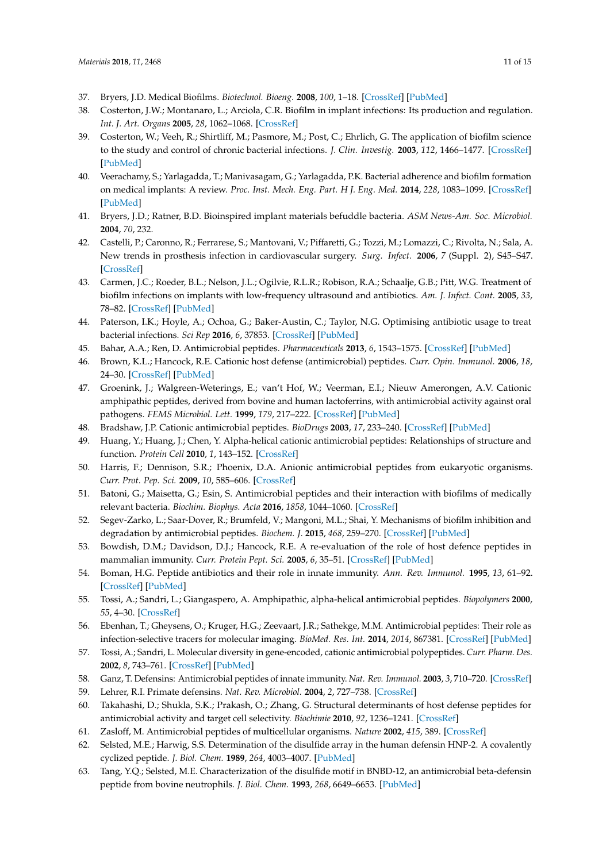- <span id="page-10-0"></span>37. Bryers, J.D. Medical Biofilms. *Biotechnol. Bioeng.* **2008**, *100*, 1–18. [\[CrossRef\]](http://dx.doi.org/10.1002/bit.21838) [\[PubMed\]](http://www.ncbi.nlm.nih.gov/pubmed/18366134)
- <span id="page-10-1"></span>38. Costerton, J.W.; Montanaro, L.; Arciola, C.R. Biofilm in implant infections: Its production and regulation. *Int. J. Art. Organs* **2005**, *28*, 1062–1068. [\[CrossRef\]](http://dx.doi.org/10.1177/039139880502801103)
- <span id="page-10-2"></span>39. Costerton, W.; Veeh, R.; Shirtliff, M.; Pasmore, M.; Post, C.; Ehrlich, G. The application of biofilm science to the study and control of chronic bacterial infections. *J. Clin. Investig.* **2003**, *112*, 1466–1477. [\[CrossRef\]](http://dx.doi.org/10.1172/JCI200320365) [\[PubMed\]](http://www.ncbi.nlm.nih.gov/pubmed/14617746)
- <span id="page-10-3"></span>40. Veerachamy, S.; Yarlagadda, T.; Manivasagam, G.; Yarlagadda, P.K. Bacterial adherence and biofilm formation on medical implants: A review. *Proc. Inst. Mech. Eng. Part. H J. Eng. Med.* **2014**, *228*, 1083–1099. [\[CrossRef\]](http://dx.doi.org/10.1177/0954411914556137) [\[PubMed\]](http://www.ncbi.nlm.nih.gov/pubmed/25406229)
- 41. Bryers, J.D.; Ratner, B.D. Bioinspired implant materials befuddle bacteria. *ASM News-Am. Soc. Microbiol.* **2004**, *70*, 232.
- <span id="page-10-25"></span><span id="page-10-4"></span>42. Castelli, P.; Caronno, R.; Ferrarese, S.; Mantovani, V.; Piffaretti, G.; Tozzi, M.; Lomazzi, C.; Rivolta, N.; Sala, A. New trends in prosthesis infection in cardiovascular surgery. *Surg. Infect.* **2006**, *7* (Suppl. 2), S45–S47. [\[CrossRef\]](http://dx.doi.org/10.1089/sur.2006.7.s2-45)
- <span id="page-10-5"></span>43. Carmen, J.C.; Roeder, B.L.; Nelson, J.L.; Ogilvie, R.L.R.; Robison, R.A.; Schaalje, G.B.; Pitt, W.G. Treatment of biofilm infections on implants with low-frequency ultrasound and antibiotics. *Am. J. Infect. Cont.* **2005**, *33*, 78–82. [\[CrossRef\]](http://dx.doi.org/10.1016/j.ajic.2004.08.002) [\[PubMed\]](http://www.ncbi.nlm.nih.gov/pubmed/15761406)
- <span id="page-10-6"></span>44. Paterson, I.K.; Hoyle, A.; Ochoa, G.; Baker-Austin, C.; Taylor, N.G. Optimising antibiotic usage to treat bacterial infections. *Sci Rep* **2016**, *6*, 37853. [\[CrossRef\]](http://dx.doi.org/10.1038/srep37853) [\[PubMed\]](http://www.ncbi.nlm.nih.gov/pubmed/27892497)
- <span id="page-10-7"></span>45. Bahar, A.A.; Ren, D. Antimicrobial peptides. *Pharmaceuticals* **2013**, *6*, 1543–1575. [\[CrossRef\]](http://dx.doi.org/10.3390/ph6121543) [\[PubMed\]](http://www.ncbi.nlm.nih.gov/pubmed/24287494)
- <span id="page-10-8"></span>46. Brown, K.L.; Hancock, R.E. Cationic host defense (antimicrobial) peptides. *Curr. Opin. Immunol.* **2006**, *18*, 24–30. [\[CrossRef\]](http://dx.doi.org/10.1016/j.coi.2005.11.004) [\[PubMed\]](http://www.ncbi.nlm.nih.gov/pubmed/16337365)
- <span id="page-10-9"></span>47. Groenink, J.; Walgreen-Weterings, E.; van't Hof, W.; Veerman, E.I.; Nieuw Amerongen, A.V. Cationic amphipathic peptides, derived from bovine and human lactoferrins, with antimicrobial activity against oral pathogens. *FEMS Microbiol. Lett.* **1999**, *179*, 217–222. [\[CrossRef\]](http://dx.doi.org/10.1111/j.1574-6968.1999.tb08730.x) [\[PubMed\]](http://www.ncbi.nlm.nih.gov/pubmed/10518718)
- <span id="page-10-10"></span>48. Bradshaw, J.P. Cationic antimicrobial peptides. *BioDrugs* **2003**, *17*, 233–240. [\[CrossRef\]](http://dx.doi.org/10.2165/00063030-200317040-00002) [\[PubMed\]](http://www.ncbi.nlm.nih.gov/pubmed/12899640)
- <span id="page-10-11"></span>49. Huang, Y.; Huang, J.; Chen, Y. Alpha-helical cationic antimicrobial peptides: Relationships of structure and function. *Protein Cell* **2010**, *1*, 143–152. [\[CrossRef\]](http://dx.doi.org/10.1007/s13238-010-0004-3)
- <span id="page-10-12"></span>50. Harris, F.; Dennison, S.R.; Phoenix, D.A. Anionic antimicrobial peptides from eukaryotic organisms. *Curr. Prot. Pep. Sci.* **2009**, *10*, 585–606. [\[CrossRef\]](http://dx.doi.org/10.2174/138920309789630589)
- <span id="page-10-13"></span>51. Batoni, G.; Maisetta, G.; Esin, S. Antimicrobial peptides and their interaction with biofilms of medically relevant bacteria. *Biochim. Biophys. Acta* **2016**, *1858*, 1044–1060. [\[CrossRef\]](http://dx.doi.org/10.1016/j.bbamem.2015.10.013)
- <span id="page-10-14"></span>52. Segev-Zarko, L.; Saar-Dover, R.; Brumfeld, V.; Mangoni, M.L.; Shai, Y. Mechanisms of biofilm inhibition and degradation by antimicrobial peptides. *Biochem. J.* **2015**, *468*, 259–270. [\[CrossRef\]](http://dx.doi.org/10.1042/BJ20141251) [\[PubMed\]](http://www.ncbi.nlm.nih.gov/pubmed/25761937)
- <span id="page-10-15"></span>53. Bowdish, D.M.; Davidson, D.J.; Hancock, R.E. A re-evaluation of the role of host defence peptides in mammalian immunity. *Curr. Protein Pept. Sci.* **2005**, *6*, 35–51. [\[CrossRef\]](http://dx.doi.org/10.2174/1389203053027494) [\[PubMed\]](http://www.ncbi.nlm.nih.gov/pubmed/15638767)
- <span id="page-10-16"></span>54. Boman, H.G. Peptide antibiotics and their role in innate immunity. *Ann. Rev. Immunol.* **1995**, *13*, 61–92. [\[CrossRef\]](http://dx.doi.org/10.1146/annurev.iy.13.040195.000425) [\[PubMed\]](http://www.ncbi.nlm.nih.gov/pubmed/7612236)
- 55. Tossi, A.; Sandri, L.; Giangaspero, A. Amphipathic, alpha-helical antimicrobial peptides. *Biopolymers* **2000**, *55*, 4–30. [\[CrossRef\]](http://dx.doi.org/10.1002/1097-0282(2000)55:1<4::AID-BIP30>3.0.CO;2-M)
- <span id="page-10-17"></span>56. Ebenhan, T.; Gheysens, O.; Kruger, H.G.; Zeevaart, J.R.; Sathekge, M.M. Antimicrobial peptides: Their role as infection-selective tracers for molecular imaging. *BioMed. Res. Int.* **2014**, *2014*, 867381. [\[CrossRef\]](http://dx.doi.org/10.1155/2014/867381) [\[PubMed\]](http://www.ncbi.nlm.nih.gov/pubmed/25243191)
- <span id="page-10-18"></span>57. Tossi, A.; Sandri, L. Molecular diversity in gene-encoded, cationic antimicrobial polypeptides. *Curr. Pharm. Des.* **2002**, *8*, 743–761. [\[CrossRef\]](http://dx.doi.org/10.2174/1381612023395475) [\[PubMed\]](http://www.ncbi.nlm.nih.gov/pubmed/11945169)
- <span id="page-10-19"></span>58. Ganz, T. Defensins: Antimicrobial peptides of innate immunity. *Nat. Rev. Immunol.* **2003**, *3*, 710–720. [\[CrossRef\]](http://dx.doi.org/10.1038/nri1180)
- <span id="page-10-20"></span>59. Lehrer, R.I. Primate defensins. *Nat. Rev. Microbiol.* **2004**, *2*, 727–738. [\[CrossRef\]](http://dx.doi.org/10.1038/nrmicro976)
- <span id="page-10-21"></span>60. Takahashi, D.; Shukla, S.K.; Prakash, O.; Zhang, G. Structural determinants of host defense peptides for antimicrobial activity and target cell selectivity. *Biochimie* **2010**, *92*, 1236–1241. [\[CrossRef\]](http://dx.doi.org/10.1016/j.biochi.2010.02.023)
- <span id="page-10-22"></span>61. Zasloff, M. Antimicrobial peptides of multicellular organisms. *Nature* **2002**, *415*, 389. [\[CrossRef\]](http://dx.doi.org/10.1038/415389a)
- <span id="page-10-23"></span>62. Selsted, M.E.; Harwig, S.S. Determination of the disulfide array in the human defensin HNP-2. A covalently cyclized peptide. *J. Biol. Chem.* **1989**, *264*, 4003–4007. [\[PubMed\]](http://www.ncbi.nlm.nih.gov/pubmed/2917986)
- <span id="page-10-24"></span>63. Tang, Y.Q.; Selsted, M.E. Characterization of the disulfide motif in BNBD-12, an antimicrobial beta-defensin peptide from bovine neutrophils. *J. Biol. Chem.* **1993**, *268*, 6649–6653. [\[PubMed\]](http://www.ncbi.nlm.nih.gov/pubmed/8454636)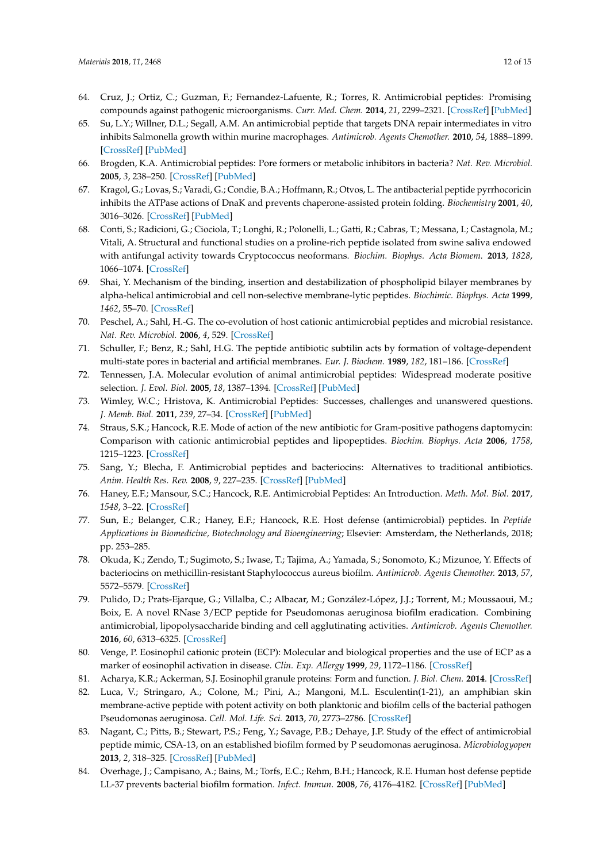- <span id="page-11-0"></span>64. Cruz, J.; Ortiz, C.; Guzman, F.; Fernandez-Lafuente, R.; Torres, R. Antimicrobial peptides: Promising compounds against pathogenic microorganisms. *Curr. Med. Chem.* **2014**, *21*, 2299–2321. [\[CrossRef\]](http://dx.doi.org/10.2174/0929867321666140217110155) [\[PubMed\]](http://www.ncbi.nlm.nih.gov/pubmed/24533812)
- <span id="page-11-1"></span>65. Su, L.Y.; Willner, D.L.; Segall, A.M. An antimicrobial peptide that targets DNA repair intermediates in vitro inhibits Salmonella growth within murine macrophages. *Antimicrob. Agents Chemother.* **2010**, *54*, 1888–1899. [\[CrossRef\]](http://dx.doi.org/10.1128/AAC.01610-09) [\[PubMed\]](http://www.ncbi.nlm.nih.gov/pubmed/20176906)
- <span id="page-11-2"></span>66. Brogden, K.A. Antimicrobial peptides: Pore formers or metabolic inhibitors in bacteria? *Nat. Rev. Microbiol.* **2005**, *3*, 238–250. [\[CrossRef\]](http://dx.doi.org/10.1038/nrmicro1098) [\[PubMed\]](http://www.ncbi.nlm.nih.gov/pubmed/15703760)
- <span id="page-11-3"></span>67. Kragol, G.; Lovas, S.; Varadi, G.; Condie, B.A.; Hoffmann, R.; Otvos, L. The antibacterial peptide pyrrhocoricin inhibits the ATPase actions of DnaK and prevents chaperone-assisted protein folding. *Biochemistry* **2001**, *40*, 3016–3026. [\[CrossRef\]](http://dx.doi.org/10.1021/bi002656a) [\[PubMed\]](http://www.ncbi.nlm.nih.gov/pubmed/11258915)
- <span id="page-11-4"></span>68. Conti, S.; Radicioni, G.; Ciociola, T.; Longhi, R.; Polonelli, L.; Gatti, R.; Cabras, T.; Messana, I.; Castagnola, M.; Vitali, A. Structural and functional studies on a proline-rich peptide isolated from swine saliva endowed with antifungal activity towards Cryptococcus neoformans. *Biochim. Biophys. Acta Biomem.* **2013**, *1828*, 1066–1074. [\[CrossRef\]](http://dx.doi.org/10.1016/j.bbamem.2012.12.013)
- <span id="page-11-5"></span>69. Shai, Y. Mechanism of the binding, insertion and destabilization of phospholipid bilayer membranes by alpha-helical antimicrobial and cell non-selective membrane-lytic peptides. *Biochimic. Biophys. Acta* **1999**, *1462*, 55–70. [\[CrossRef\]](http://dx.doi.org/10.1016/S0005-2736(99)00200-X)
- <span id="page-11-21"></span>70. Peschel, A.; Sahl, H.-G. The co-evolution of host cationic antimicrobial peptides and microbial resistance. *Nat. Rev. Microbiol.* **2006**, *4*, 529. [\[CrossRef\]](http://dx.doi.org/10.1038/nrmicro1441)
- <span id="page-11-6"></span>71. Schuller, F.; Benz, R.; Sahl, H.G. The peptide antibiotic subtilin acts by formation of voltage-dependent multi-state pores in bacterial and artificial membranes. *Eur. J. Biochem.* **1989**, *182*, 181–186. [\[CrossRef\]](http://dx.doi.org/10.1111/j.1432-1033.1989.tb14815.x)
- <span id="page-11-7"></span>72. Tennessen, J.A. Molecular evolution of animal antimicrobial peptides: Widespread moderate positive selection. *J. Evol. Biol.* **2005**, *18*, 1387–1394. [\[CrossRef\]](http://dx.doi.org/10.1111/j.1420-9101.2005.00925.x) [\[PubMed\]](http://www.ncbi.nlm.nih.gov/pubmed/16313451)
- <span id="page-11-8"></span>73. Wimley, W.C.; Hristova, K. Antimicrobial Peptides: Successes, challenges and unanswered questions. *J. Memb. Biol.* **2011**, *239*, 27–34. [\[CrossRef\]](http://dx.doi.org/10.1007/s00232-011-9343-0) [\[PubMed\]](http://www.ncbi.nlm.nih.gov/pubmed/21225255)
- <span id="page-11-20"></span><span id="page-11-9"></span>74. Straus, S.K.; Hancock, R.E. Mode of action of the new antibiotic for Gram-positive pathogens daptomycin: Comparison with cationic antimicrobial peptides and lipopeptides. *Biochim. Biophys. Acta* **2006**, *1758*, 1215–1223. [\[CrossRef\]](http://dx.doi.org/10.1016/j.bbamem.2006.02.009)
- <span id="page-11-10"></span>75. Sang, Y.; Blecha, F. Antimicrobial peptides and bacteriocins: Alternatives to traditional antibiotics. *Anim. Health Res. Rev.* **2008**, *9*, 227–235. [\[CrossRef\]](http://dx.doi.org/10.1017/S1466252308001497) [\[PubMed\]](http://www.ncbi.nlm.nih.gov/pubmed/18983725)
- <span id="page-11-11"></span>76. Haney, E.F.; Mansour, S.C.; Hancock, R.E. Antimicrobial Peptides: An Introduction. *Meth. Mol. Biol.* **2017**, *1548*, 3–22. [\[CrossRef\]](http://dx.doi.org/10.1007/978-1-4939-6737-7_1)
- <span id="page-11-12"></span>77. Sun, E.; Belanger, C.R.; Haney, E.F.; Hancock, R.E. Host defense (antimicrobial) peptides. In *Peptide Applications in Biomedicine, Biotechnology and Bioengineering*; Elsevier: Amsterdam, the Netherlands, 2018; pp. 253–285.
- <span id="page-11-13"></span>78. Okuda, K.; Zendo, T.; Sugimoto, S.; Iwase, T.; Tajima, A.; Yamada, S.; Sonomoto, K.; Mizunoe, Y. Effects of bacteriocins on methicillin-resistant Staphylococcus aureus biofilm. *Antimicrob. Agents Chemother.* **2013**, *57*, 5572–5579. [\[CrossRef\]](http://dx.doi.org/10.1128/AAC.00888-13)
- <span id="page-11-14"></span>79. Pulido, D.; Prats-Ejarque, G.; Villalba, C.; Albacar, M.; González-López, J.J.; Torrent, M.; Moussaoui, M.; Boix, E. A novel RNase 3/ECP peptide for Pseudomonas aeruginosa biofilm eradication. Combining antimicrobial, lipopolysaccharide binding and cell agglutinating activities. *Antimicrob. Agents Chemother.* **2016**, *60*, 6313–6325. [\[CrossRef\]](http://dx.doi.org/10.1128/AAC.00830-16)
- <span id="page-11-15"></span>80. Venge, P. Eosinophil cationic protein (ECP): Molecular and biological properties and the use of ECP as a marker of eosinophil activation in disease. *Clin. Exp. Allergy* **1999**, *29*, 1172–1186. [\[CrossRef\]](http://dx.doi.org/10.1046/j.1365-2222.1999.00542.x)
- <span id="page-11-16"></span>81. Acharya, K.R.; Ackerman, S.J. Eosinophil granule proteins: Form and function. *J. Biol. Chem.* **2014**. [\[CrossRef\]](http://dx.doi.org/10.1074/jbc.R113.546218)
- <span id="page-11-17"></span>82. Luca, V.; Stringaro, A.; Colone, M.; Pini, A.; Mangoni, M.L. Esculentin(1-21), an amphibian skin membrane-active peptide with potent activity on both planktonic and biofilm cells of the bacterial pathogen Pseudomonas aeruginosa. *Cell. Mol. Life. Sci.* **2013**, *70*, 2773–2786. [\[CrossRef\]](http://dx.doi.org/10.1007/s00018-013-1291-7)
- <span id="page-11-18"></span>83. Nagant, C.; Pitts, B.; Stewart, P.S.; Feng, Y.; Savage, P.B.; Dehaye, J.P. Study of the effect of antimicrobial peptide mimic, CSA-13, on an established biofilm formed by P seudomonas aeruginosa. *Microbiologyopen* **2013**, *2*, 318–325. [\[CrossRef\]](http://dx.doi.org/10.1002/mbo3.77) [\[PubMed\]](http://www.ncbi.nlm.nih.gov/pubmed/23436807)
- <span id="page-11-19"></span>84. Overhage, J.; Campisano, A.; Bains, M.; Torfs, E.C.; Rehm, B.H.; Hancock, R.E. Human host defense peptide LL-37 prevents bacterial biofilm formation. *Infect. Immun.* **2008**, *76*, 4176–4182. [\[CrossRef\]](http://dx.doi.org/10.1128/IAI.00318-08) [\[PubMed\]](http://www.ncbi.nlm.nih.gov/pubmed/18591225)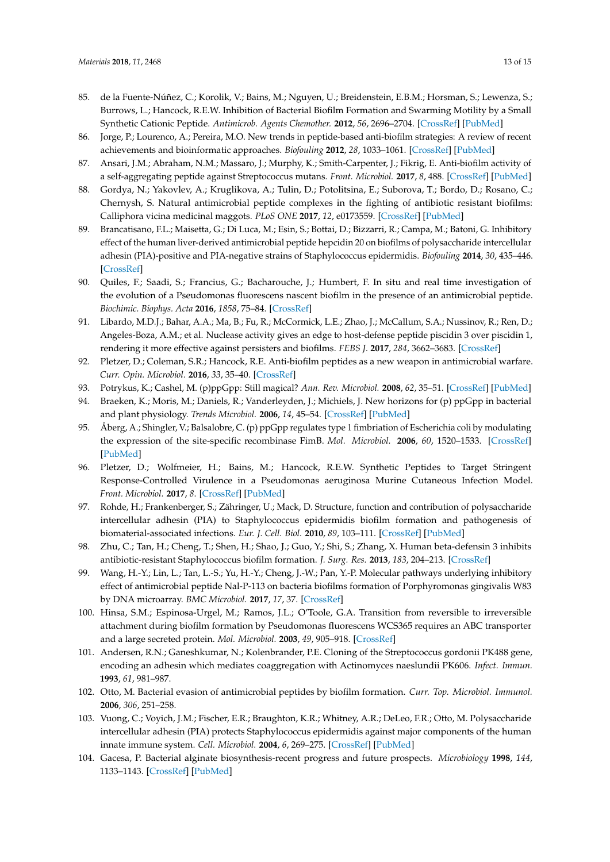- <span id="page-12-21"></span><span id="page-12-20"></span><span id="page-12-19"></span><span id="page-12-18"></span><span id="page-12-17"></span><span id="page-12-0"></span>85. de la Fuente-Núñez, C.; Korolik, V.; Bains, M.; Nguyen, U.; Breidenstein, E.B.M.; Horsman, S.; Lewenza, S.; Burrows, L.; Hancock, R.E.W. Inhibition of Bacterial Biofilm Formation and Swarming Motility by a Small Synthetic Cationic Peptide. *Antimicrob. Agents Chemother.* **2012**, *56*, 2696–2704. [\[CrossRef\]](http://dx.doi.org/10.1128/AAC.00064-12) [\[PubMed\]](http://www.ncbi.nlm.nih.gov/pubmed/22354291)
- <span id="page-12-1"></span>86. Jorge, P.; Lourenco, A.; Pereira, M.O. New trends in peptide-based anti-biofilm strategies: A review of recent achievements and bioinformatic approaches. *Biofouling* **2012**, *28*, 1033–1061. [\[CrossRef\]](http://dx.doi.org/10.1080/08927014.2012.728210) [\[PubMed\]](http://www.ncbi.nlm.nih.gov/pubmed/23016989)
- <span id="page-12-2"></span>87. Ansari, J.M.; Abraham, N.M.; Massaro, J.; Murphy, K.; Smith-Carpenter, J.; Fikrig, E. Anti-biofilm activity of a self-aggregating peptide against Streptococcus mutans. *Front. Microbiol.* **2017**, *8*, 488. [\[CrossRef\]](http://dx.doi.org/10.3389/fmicb.2017.00488) [\[PubMed\]](http://www.ncbi.nlm.nih.gov/pubmed/28392782)
- <span id="page-12-3"></span>88. Gordya, N.; Yakovlev, A.; Kruglikova, A.; Tulin, D.; Potolitsina, E.; Suborova, T.; Bordo, D.; Rosano, C.; Chernysh, S. Natural antimicrobial peptide complexes in the fighting of antibiotic resistant biofilms: Calliphora vicina medicinal maggots. *PLoS ONE* **2017**, *12*, e0173559. [\[CrossRef\]](http://dx.doi.org/10.1371/journal.pone.0173559) [\[PubMed\]](http://www.ncbi.nlm.nih.gov/pubmed/28278280)
- <span id="page-12-24"></span><span id="page-12-4"></span>89. Brancatisano, F.L.; Maisetta, G.; Di Luca, M.; Esin, S.; Bottai, D.; Bizzarri, R.; Campa, M.; Batoni, G. Inhibitory effect of the human liver-derived antimicrobial peptide hepcidin 20 on biofilms of polysaccharide intercellular adhesin (PIA)-positive and PIA-negative strains of Staphylococcus epidermidis. *Biofouling* **2014**, *30*, 435–446. [\[CrossRef\]](http://dx.doi.org/10.1080/08927014.2014.888062)
- <span id="page-12-23"></span><span id="page-12-5"></span>90. Quiles, F.; Saadi, S.; Francius, G.; Bacharouche, J.; Humbert, F. In situ and real time investigation of the evolution of a Pseudomonas fluorescens nascent biofilm in the presence of an antimicrobial peptide. *Biochimic. Biophys. Acta* **2016**, *1858*, 75–84. [\[CrossRef\]](http://dx.doi.org/10.1016/j.bbamem.2015.10.015)
- <span id="page-12-22"></span><span id="page-12-6"></span>91. Libardo, M.D.J.; Bahar, A.A.; Ma, B.; Fu, R.; McCormick, L.E.; Zhao, J.; McCallum, S.A.; Nussinov, R.; Ren, D.; Angeles-Boza, A.M.; et al. Nuclease activity gives an edge to host-defense peptide piscidin 3 over piscidin 1, rendering it more effective against persisters and biofilms. *FEBS J.* **2017**, *284*, 3662–3683. [\[CrossRef\]](http://dx.doi.org/10.1111/febs.14263)
- <span id="page-12-7"></span>92. Pletzer, D.; Coleman, S.R.; Hancock, R.E. Anti-biofilm peptides as a new weapon in antimicrobial warfare. *Curr. Opin. Microbiol.* **2016**, *33*, 35–40. [\[CrossRef\]](http://dx.doi.org/10.1016/j.mib.2016.05.016)
- <span id="page-12-8"></span>93. Potrykus, K.; Cashel, M. (p)ppGpp: Still magical? *Ann. Rev. Microbiol.* **2008**, *62*, 35–51. [\[CrossRef\]](http://dx.doi.org/10.1146/annurev.micro.62.081307.162903) [\[PubMed\]](http://www.ncbi.nlm.nih.gov/pubmed/18454629)
- <span id="page-12-9"></span>94. Braeken, K.; Moris, M.; Daniels, R.; Vanderleyden, J.; Michiels, J. New horizons for (p) ppGpp in bacterial and plant physiology. *Trends Microbiol.* **2006**, *14*, 45–54. [\[CrossRef\]](http://dx.doi.org/10.1016/j.tim.2005.11.006) [\[PubMed\]](http://www.ncbi.nlm.nih.gov/pubmed/16343907)
- <span id="page-12-10"></span>95. Åberg, A.; Shingler, V.; Balsalobre, C. (p) ppGpp regulates type 1 fimbriation of Escherichia coli by modulating the expression of the site-specific recombinase FimB. *Mol. Microbiol.* **2006**, *60*, 1520–1533. [\[CrossRef\]](http://dx.doi.org/10.1111/j.1365-2958.2006.05191.x) [\[PubMed\]](http://www.ncbi.nlm.nih.gov/pubmed/16796685)
- <span id="page-12-11"></span>96. Pletzer, D.; Wolfmeier, H.; Bains, M.; Hancock, R.E.W. Synthetic Peptides to Target Stringent Response-Controlled Virulence in a Pseudomonas aeruginosa Murine Cutaneous Infection Model. *Front. Microbiol.* **2017**, *8*. [\[CrossRef\]](http://dx.doi.org/10.3389/fmicb.2017.01867) [\[PubMed\]](http://www.ncbi.nlm.nih.gov/pubmed/29021784)
- <span id="page-12-12"></span>97. Rohde, H.; Frankenberger, S.; Zähringer, U.; Mack, D. Structure, function and contribution of polysaccharide intercellular adhesin (PIA) to Staphylococcus epidermidis biofilm formation and pathogenesis of biomaterial-associated infections. *Eur. J. Cell. Biol.* **2010**, *89*, 103–111. [\[CrossRef\]](http://dx.doi.org/10.1016/j.ejcb.2009.10.005) [\[PubMed\]](http://www.ncbi.nlm.nih.gov/pubmed/19913940)
- <span id="page-12-13"></span>98. Zhu, C.; Tan, H.; Cheng, T.; Shen, H.; Shao, J.; Guo, Y.; Shi, S.; Zhang, X. Human beta-defensin 3 inhibits antibiotic-resistant Staphylococcus biofilm formation. *J. Surg. Res.* **2013**, *183*, 204–213. [\[CrossRef\]](http://dx.doi.org/10.1016/j.jss.2012.11.048)
- <span id="page-12-14"></span>99. Wang, H.-Y.; Lin, L.; Tan, L.-S.; Yu, H.-Y.; Cheng, J.-W.; Pan, Y.-P. Molecular pathways underlying inhibitory effect of antimicrobial peptide Nal-P-113 on bacteria biofilms formation of Porphyromonas gingivalis W83 by DNA microarray. *BMC Microbiol.* **2017**, *17*, 37. [\[CrossRef\]](http://dx.doi.org/10.1186/s12866-017-0948-z)
- <span id="page-12-15"></span>100. Hinsa, S.M.; Espinosa-Urgel, M.; Ramos, J.L.; O'Toole, G.A. Transition from reversible to irreversible attachment during biofilm formation by Pseudomonas fluorescens WCS365 requires an ABC transporter and a large secreted protein. *Mol. Microbiol.* **2003**, *49*, 905–918. [\[CrossRef\]](http://dx.doi.org/10.1046/j.1365-2958.2003.03615.x)
- <span id="page-12-16"></span>101. Andersen, R.N.; Ganeshkumar, N.; Kolenbrander, P.E. Cloning of the Streptococcus gordonii PK488 gene, encoding an adhesin which mediates coaggregation with Actinomyces naeslundii PK606. *Infect. Immun.* **1993**, *61*, 981–987.
- <span id="page-12-25"></span>102. Otto, M. Bacterial evasion of antimicrobial peptides by biofilm formation. *Curr. Top. Microbiol. Immunol.* **2006**, *306*, 251–258.
- <span id="page-12-26"></span>103. Vuong, C.; Voyich, J.M.; Fischer, E.R.; Braughton, K.R.; Whitney, A.R.; DeLeo, F.R.; Otto, M. Polysaccharide intercellular adhesin (PIA) protects Staphylococcus epidermidis against major components of the human innate immune system. *Cell. Microbiol.* **2004**, *6*, 269–275. [\[CrossRef\]](http://dx.doi.org/10.1046/j.1462-5822.2004.00367.x) [\[PubMed\]](http://www.ncbi.nlm.nih.gov/pubmed/14764110)
- <span id="page-12-27"></span>104. Gacesa, P. Bacterial alginate biosynthesis-recent progress and future prospects. *Microbiology* **1998**, *144*, 1133–1143. [\[CrossRef\]](http://dx.doi.org/10.1099/00221287-144-5-1133) [\[PubMed\]](http://www.ncbi.nlm.nih.gov/pubmed/9611788)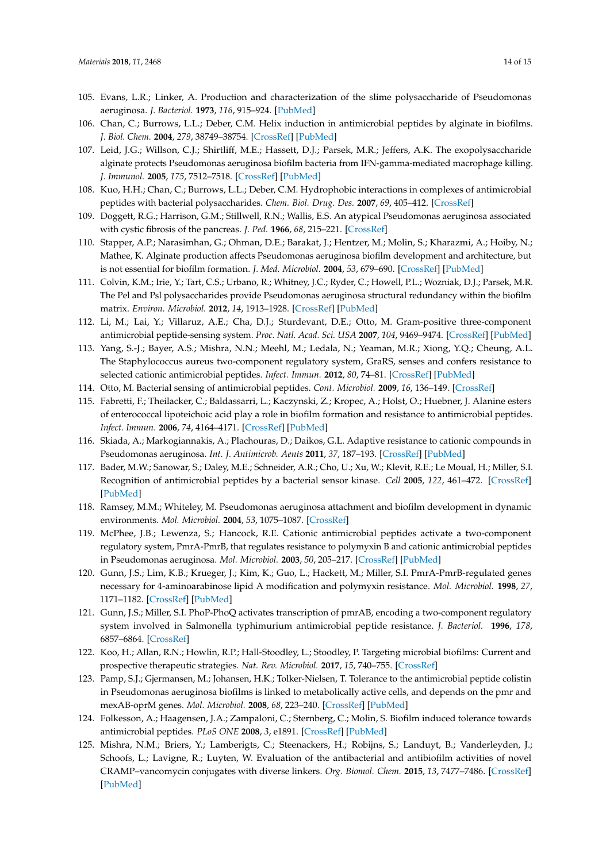- <span id="page-13-0"></span>105. Evans, L.R.; Linker, A. Production and characterization of the slime polysaccharide of Pseudomonas aeruginosa. *J. Bacteriol.* **1973**, *116*, 915–924. [\[PubMed\]](http://www.ncbi.nlm.nih.gov/pubmed/4200860)
- <span id="page-13-1"></span>106. Chan, C.; Burrows, L.L.; Deber, C.M. Helix induction in antimicrobial peptides by alginate in biofilms. *J. Biol. Chem.* **2004**, *279*, 38749–38754. [\[CrossRef\]](http://dx.doi.org/10.1074/jbc.M406044200) [\[PubMed\]](http://www.ncbi.nlm.nih.gov/pubmed/15247257)
- <span id="page-13-2"></span>107. Leid, J.G.; Willson, C.J.; Shirtliff, M.E.; Hassett, D.J.; Parsek, M.R.; Jeffers, A.K. The exopolysaccharide alginate protects Pseudomonas aeruginosa biofilm bacteria from IFN-gamma-mediated macrophage killing. *J. Immunol.* **2005**, *175*, 7512–7518. [\[CrossRef\]](http://dx.doi.org/10.4049/jimmunol.175.11.7512) [\[PubMed\]](http://www.ncbi.nlm.nih.gov/pubmed/16301659)
- <span id="page-13-3"></span>108. Kuo, H.H.; Chan, C.; Burrows, L.L.; Deber, C.M. Hydrophobic interactions in complexes of antimicrobial peptides with bacterial polysaccharides. *Chem. Biol. Drug. Des.* **2007**, *69*, 405–412. [\[CrossRef\]](http://dx.doi.org/10.1111/j.1747-0285.2007.00518.x)
- <span id="page-13-4"></span>109. Doggett, R.G.; Harrison, G.M.; Stillwell, R.N.; Wallis, E.S. An atypical Pseudomonas aeruginosa associated with cystic fibrosis of the pancreas. *J. Ped.* **1966**, *68*, 215–221. [\[CrossRef\]](http://dx.doi.org/10.1016/S0022-3476(66)80152-X)
- <span id="page-13-5"></span>110. Stapper, A.P.; Narasimhan, G.; Ohman, D.E.; Barakat, J.; Hentzer, M.; Molin, S.; Kharazmi, A.; Hoiby, N.; Mathee, K. Alginate production affects Pseudomonas aeruginosa biofilm development and architecture, but is not essential for biofilm formation. *J. Med. Microbiol.* **2004**, *53*, 679–690. [\[CrossRef\]](http://dx.doi.org/10.1099/jmm.0.45539-0) [\[PubMed\]](http://www.ncbi.nlm.nih.gov/pubmed/15184541)
- <span id="page-13-6"></span>111. Colvin, K.M.; Irie, Y.; Tart, C.S.; Urbano, R.; Whitney, J.C.; Ryder, C.; Howell, P.L.; Wozniak, D.J.; Parsek, M.R. The Pel and Psl polysaccharides provide Pseudomonas aeruginosa structural redundancy within the biofilm matrix. *Environ. Microbiol.* **2012**, *14*, 1913–1928. [\[CrossRef\]](http://dx.doi.org/10.1111/j.1462-2920.2011.02657.x) [\[PubMed\]](http://www.ncbi.nlm.nih.gov/pubmed/22176658)
- <span id="page-13-7"></span>112. Li, M.; Lai, Y.; Villaruz, A.E.; Cha, D.J.; Sturdevant, D.E.; Otto, M. Gram-positive three-component antimicrobial peptide-sensing system. *Proc. Natl. Acad. Sci. USA* **2007**, *104*, 9469–9474. [\[CrossRef\]](http://dx.doi.org/10.1073/pnas.0702159104) [\[PubMed\]](http://www.ncbi.nlm.nih.gov/pubmed/17517597)
- <span id="page-13-8"></span>113. Yang, S.-J.; Bayer, A.S.; Mishra, N.N.; Meehl, M.; Ledala, N.; Yeaman, M.R.; Xiong, Y.Q.; Cheung, A.L. The Staphylococcus aureus two-component regulatory system, GraRS, senses and confers resistance to selected cationic antimicrobial peptides. *Infect. Immun.* **2012**, *80*, 74–81. [\[CrossRef\]](http://dx.doi.org/10.1128/IAI.05669-11) [\[PubMed\]](http://www.ncbi.nlm.nih.gov/pubmed/21986630)
- <span id="page-13-9"></span>114. Otto, M. Bacterial sensing of antimicrobial peptides. *Cont. Microbiol.* **2009**, *16*, 136–149. [\[CrossRef\]](http://dx.doi.org/10.1159/000219377)
- <span id="page-13-10"></span>115. Fabretti, F.; Theilacker, C.; Baldassarri, L.; Kaczynski, Z.; Kropec, A.; Holst, O.; Huebner, J. Alanine esters of enterococcal lipoteichoic acid play a role in biofilm formation and resistance to antimicrobial peptides. *Infect. Immun.* **2006**, *74*, 4164–4171. [\[CrossRef\]](http://dx.doi.org/10.1128/IAI.00111-06) [\[PubMed\]](http://www.ncbi.nlm.nih.gov/pubmed/16790791)
- <span id="page-13-11"></span>116. Skiada, A.; Markogiannakis, A.; Plachouras, D.; Daikos, G.L. Adaptive resistance to cationic compounds in Pseudomonas aeruginosa. *Int. J. Antimicrob. Aents* **2011**, *37*, 187–193. [\[CrossRef\]](http://dx.doi.org/10.1016/j.ijantimicag.2010.11.019) [\[PubMed\]](http://www.ncbi.nlm.nih.gov/pubmed/21295448)
- <span id="page-13-12"></span>117. Bader, M.W.; Sanowar, S.; Daley, M.E.; Schneider, A.R.; Cho, U.; Xu, W.; Klevit, R.E.; Le Moual, H.; Miller, S.I. Recognition of antimicrobial peptides by a bacterial sensor kinase. *Cell* **2005**, *122*, 461–472. [\[CrossRef\]](http://dx.doi.org/10.1016/j.cell.2005.05.030) [\[PubMed\]](http://www.ncbi.nlm.nih.gov/pubmed/16096064)
- <span id="page-13-13"></span>118. Ramsey, M.M.; Whiteley, M. Pseudomonas aeruginosa attachment and biofilm development in dynamic environments. *Mol. Microbiol.* **2004**, *53*, 1075–1087. [\[CrossRef\]](http://dx.doi.org/10.1111/j.1365-2958.2004.04181.x)
- <span id="page-13-14"></span>119. McPhee, J.B.; Lewenza, S.; Hancock, R.E. Cationic antimicrobial peptides activate a two-component regulatory system, PmrA-PmrB, that regulates resistance to polymyxin B and cationic antimicrobial peptides in Pseudomonas aeruginosa. *Mol. Microbiol.* **2003**, *50*, 205–217. [\[CrossRef\]](http://dx.doi.org/10.1046/j.1365-2958.2003.03673.x) [\[PubMed\]](http://www.ncbi.nlm.nih.gov/pubmed/14507375)
- <span id="page-13-15"></span>120. Gunn, J.S.; Lim, K.B.; Krueger, J.; Kim, K.; Guo, L.; Hackett, M.; Miller, S.I. PmrA-PmrB-regulated genes necessary for 4-aminoarabinose lipid A modification and polymyxin resistance. *Mol. Microbiol.* **1998**, *27*, 1171–1182. [\[CrossRef\]](http://dx.doi.org/10.1046/j.1365-2958.1998.00757.x) [\[PubMed\]](http://www.ncbi.nlm.nih.gov/pubmed/9570402)
- <span id="page-13-16"></span>121. Gunn, J.S.; Miller, S.I. PhoP-PhoQ activates transcription of pmrAB, encoding a two-component regulatory system involved in Salmonella typhimurium antimicrobial peptide resistance. *J. Bacteriol.* **1996**, *178*, 6857–6864. [\[CrossRef\]](http://dx.doi.org/10.1128/jb.178.23.6857-6864.1996)
- <span id="page-13-17"></span>122. Koo, H.; Allan, R.N.; Howlin, R.P.; Hall-Stoodley, L.; Stoodley, P. Targeting microbial biofilms: Current and prospective therapeutic strategies. *Nat. Rev. Microbiol.* **2017**, *15*, 740–755. [\[CrossRef\]](http://dx.doi.org/10.1038/nrmicro.2017.99)
- <span id="page-13-18"></span>123. Pamp, S.J.; Gjermansen, M.; Johansen, H.K.; Tolker-Nielsen, T. Tolerance to the antimicrobial peptide colistin in Pseudomonas aeruginosa biofilms is linked to metabolically active cells, and depends on the pmr and mexAB-oprM genes. *Mol. Microbiol.* **2008**, *68*, 223–240. [\[CrossRef\]](http://dx.doi.org/10.1111/j.1365-2958.2008.06152.x) [\[PubMed\]](http://www.ncbi.nlm.nih.gov/pubmed/18312276)
- <span id="page-13-19"></span>124. Folkesson, A.; Haagensen, J.A.; Zampaloni, C.; Sternberg, C.; Molin, S. Biofilm induced tolerance towards antimicrobial peptides. *PLoS ONE* **2008**, *3*, e1891. [\[CrossRef\]](http://dx.doi.org/10.1371/journal.pone.0001891) [\[PubMed\]](http://www.ncbi.nlm.nih.gov/pubmed/18382672)
- <span id="page-13-20"></span>125. Mishra, N.M.; Briers, Y.; Lamberigts, C.; Steenackers, H.; Robijns, S.; Landuyt, B.; Vanderleyden, J.; Schoofs, L.; Lavigne, R.; Luyten, W. Evaluation of the antibacterial and antibiofilm activities of novel CRAMP–vancomycin conjugates with diverse linkers. *Org. Biomol. Chem.* **2015**, *13*, 7477–7486. [\[CrossRef\]](http://dx.doi.org/10.1039/C5OB00830A) [\[PubMed\]](http://www.ncbi.nlm.nih.gov/pubmed/26068402)